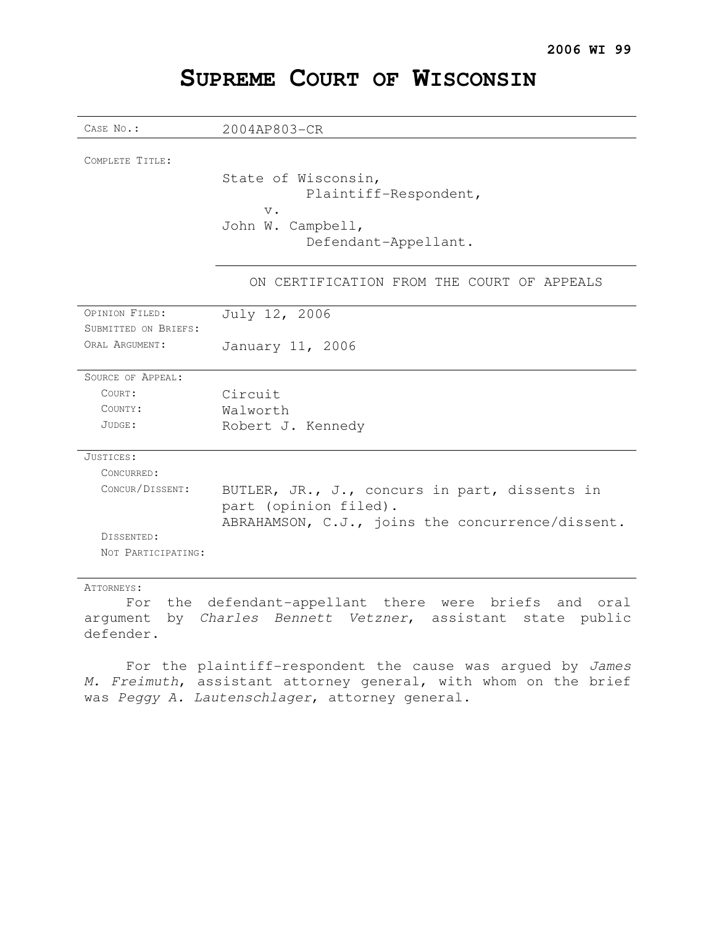## **SUPREME COURT OF WISCONSIN**

| CASE No.:                              | 2004AP803-CR                                                                                                               |
|----------------------------------------|----------------------------------------------------------------------------------------------------------------------------|
| COMPLETE TITLE:                        | State of Wisconsin,<br>Plaintiff-Respondent,<br>$V$ .<br>John W. Campbell,<br>Defendant-Appellant.                         |
|                                        | ON CERTIFICATION FROM THE COURT OF APPEALS                                                                                 |
| OPINION FILED:                         | July 12, 2006                                                                                                              |
| SUBMITTED ON BRIEFS:<br>ORAL ARGUMENT: |                                                                                                                            |
|                                        | January 11, 2006                                                                                                           |
| <b>SOURCE OF APPEAL:</b>               |                                                                                                                            |
| COURT:                                 | Circuit                                                                                                                    |
| COUNTY:                                | Walworth                                                                                                                   |
| JUDGE:                                 | Robert J. Kennedy                                                                                                          |
| JUSTICES:                              |                                                                                                                            |
| CONCURRED:                             |                                                                                                                            |
| CONCUR/DISSENT:                        | BUTLER, JR., J., concurs in part, dissents in<br>part (opinion filed).<br>ABRAHAMSON, C.J., joins the concurrence/dissent. |
| DISSENTED:                             |                                                                                                                            |
| NOT PARTICIPATING:                     |                                                                                                                            |

#### ATTORNEYS:

For the defendant-appellant there were briefs and oral argument by Charles Bennett Vetzner, assistant state public defender.

For the plaintiff-respondent the cause was argued by James M. Freimuth, assistant attorney general, with whom on the brief was Peggy A. Lautenschlager, attorney general.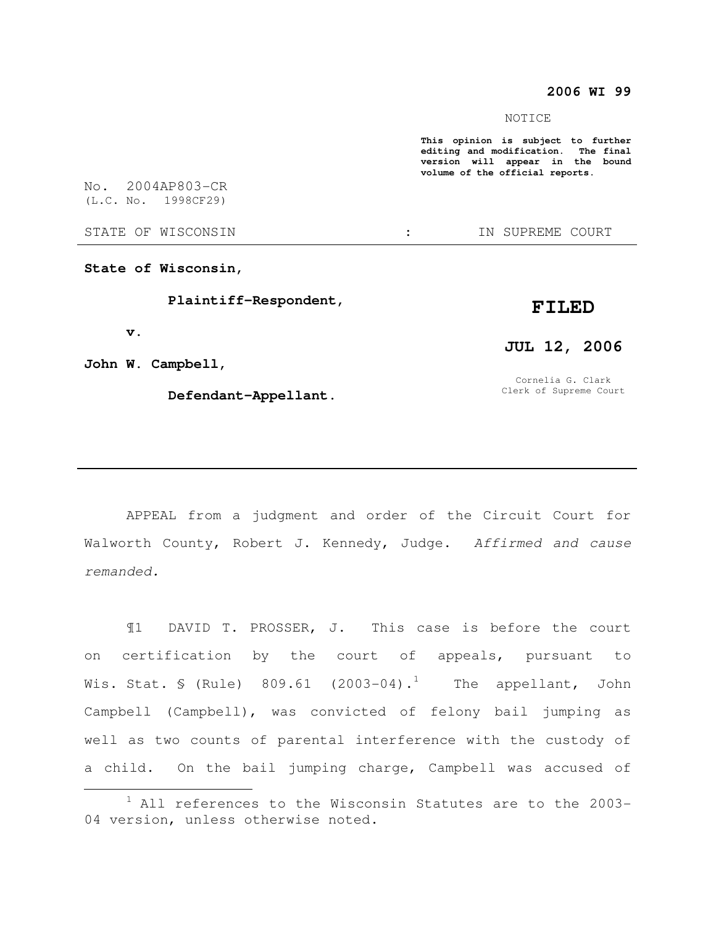#### **2006 WI 99**

NOTICE

**This opinion is subject to further editing and modification. The final version will appear in the bound volume of the official reports.** 

STATE OF WISCONSIN THE STATE OF WISCONSIN THE STATE OF STATE OF STATE OF STATE OF STATE OF STATE OF STATE OF STATE OF STATE OF STATE OF STATE OF STATE OF STATE OF STATE OF STATE OF STATE OF STATE OF STATE OF STATE OF STATE

(L.C. No. 1998CF29)

No. 2004AP803-CR

**State of Wisconsin,** 

 **Plaintiff-Respondent,** 

 **v.** 

 $\overline{a}$ 

**John W. Campbell,** 

 **Defendant-Appellant.** 

# **FILED JUL 12, 2006**

Cornelia G. Clark Clerk of Supreme Court

APPEAL from a judgment and order of the Circuit Court for Walworth County, Robert J. Kennedy, Judge. Affirmed and cause remanded.

¶1 DAVID T. PROSSER, J. This case is before the court on certification by the court of appeals, pursuant to Wis. Stat. § (Rule)  $809.61$  (2003-04).<sup>1</sup> The appellant, John Campbell (Campbell), was convicted of felony bail jumping as well as two counts of parental interference with the custody of a child. On the bail jumping charge, Campbell was accused of

 $1$  All references to the Wisconsin Statutes are to the 2003-04 version, unless otherwise noted.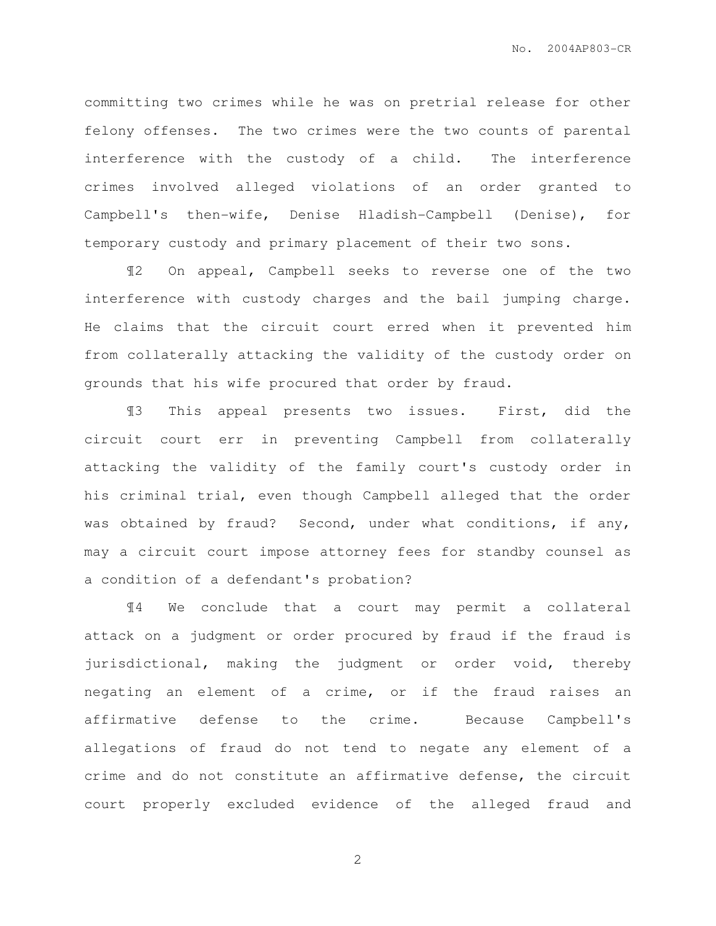committing two crimes while he was on pretrial release for other felony offenses. The two crimes were the two counts of parental interference with the custody of a child. The interference crimes involved alleged violations of an order granted to Campbell's then-wife, Denise Hladish-Campbell (Denise), for temporary custody and primary placement of their two sons.

¶2 On appeal, Campbell seeks to reverse one of the two interference with custody charges and the bail jumping charge. He claims that the circuit court erred when it prevented him from collaterally attacking the validity of the custody order on grounds that his wife procured that order by fraud.

¶3 This appeal presents two issues. First, did the circuit court err in preventing Campbell from collaterally attacking the validity of the family court's custody order in his criminal trial, even though Campbell alleged that the order was obtained by fraud? Second, under what conditions, if any, may a circuit court impose attorney fees for standby counsel as a condition of a defendant's probation?

¶4 We conclude that a court may permit a collateral attack on a judgment or order procured by fraud if the fraud is jurisdictional, making the judgment or order void, thereby negating an element of a crime, or if the fraud raises an affirmative defense to the crime. Because Campbell's allegations of fraud do not tend to negate any element of a crime and do not constitute an affirmative defense, the circuit court properly excluded evidence of the alleged fraud and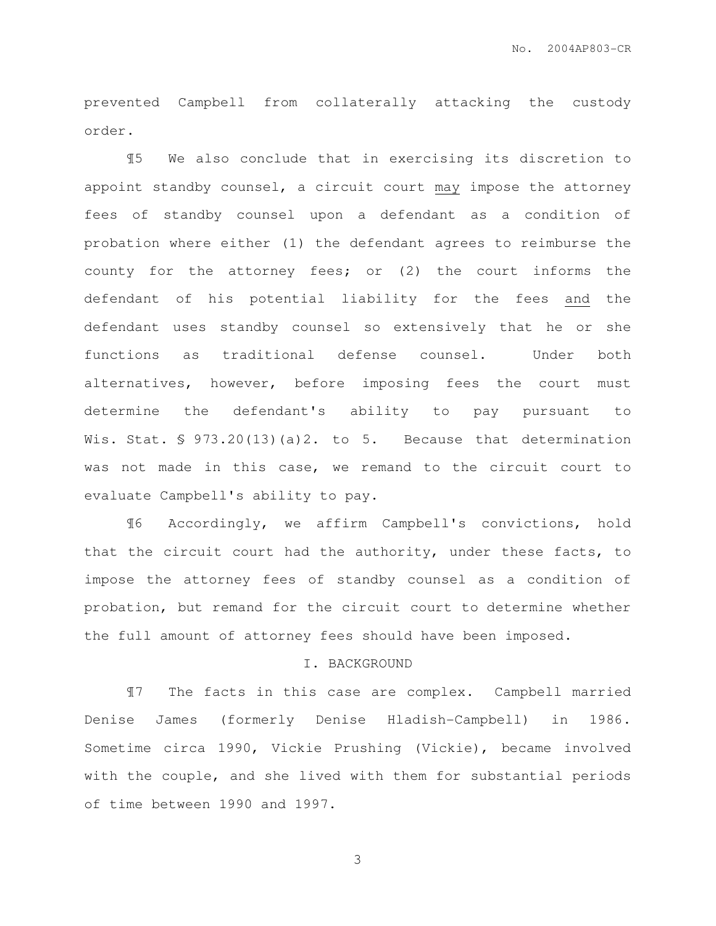prevented Campbell from collaterally attacking the custody order.

¶5 We also conclude that in exercising its discretion to appoint standby counsel, a circuit court may impose the attorney fees of standby counsel upon a defendant as a condition of probation where either (1) the defendant agrees to reimburse the county for the attorney fees; or (2) the court informs the defendant of his potential liability for the fees and the defendant uses standby counsel so extensively that he or she functions as traditional defense counsel. Under both alternatives, however, before imposing fees the court must determine the defendant's ability to pay pursuant to Wis. Stat.  $\frac{1}{2}$  973.20(13)(a)2. to 5. Because that determination was not made in this case, we remand to the circuit court to evaluate Campbell's ability to pay.

¶6 Accordingly, we affirm Campbell's convictions, hold that the circuit court had the authority, under these facts, to impose the attorney fees of standby counsel as a condition of probation, but remand for the circuit court to determine whether the full amount of attorney fees should have been imposed.

#### I. BACKGROUND

¶7 The facts in this case are complex. Campbell married Denise James (formerly Denise Hladish-Campbell) in 1986. Sometime circa 1990, Vickie Prushing (Vickie), became involved with the couple, and she lived with them for substantial periods of time between 1990 and 1997.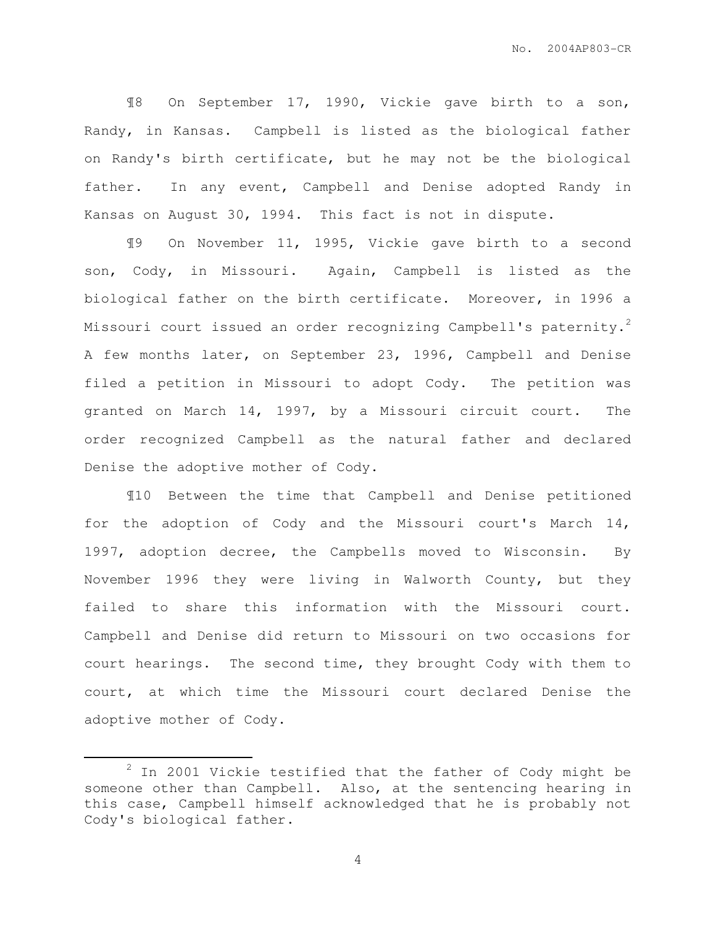¶8 On September 17, 1990, Vickie gave birth to a son, Randy, in Kansas. Campbell is listed as the biological father on Randy's birth certificate, but he may not be the biological father. In any event, Campbell and Denise adopted Randy in Kansas on August 30, 1994. This fact is not in dispute.

¶9 On November 11, 1995, Vickie gave birth to a second son, Cody, in Missouri. Again, Campbell is listed as the biological father on the birth certificate. Moreover, in 1996 a Missouri court issued an order recognizing Campbell's paternity.<sup>2</sup> A few months later, on September 23, 1996, Campbell and Denise filed a petition in Missouri to adopt Cody. The petition was granted on March 14, 1997, by a Missouri circuit court. The order recognized Campbell as the natural father and declared Denise the adoptive mother of Cody.

¶10 Between the time that Campbell and Denise petitioned for the adoption of Cody and the Missouri court's March 14, 1997, adoption decree, the Campbells moved to Wisconsin. By November 1996 they were living in Walworth County, but they failed to share this information with the Missouri court. Campbell and Denise did return to Missouri on two occasions for court hearings. The second time, they brought Cody with them to court, at which time the Missouri court declared Denise the adoptive mother of Cody.

 $\overline{a}$ 

 $2$  In 2001 Vickie testified that the father of Cody might be someone other than Campbell. Also, at the sentencing hearing in this case, Campbell himself acknowledged that he is probably not Cody's biological father.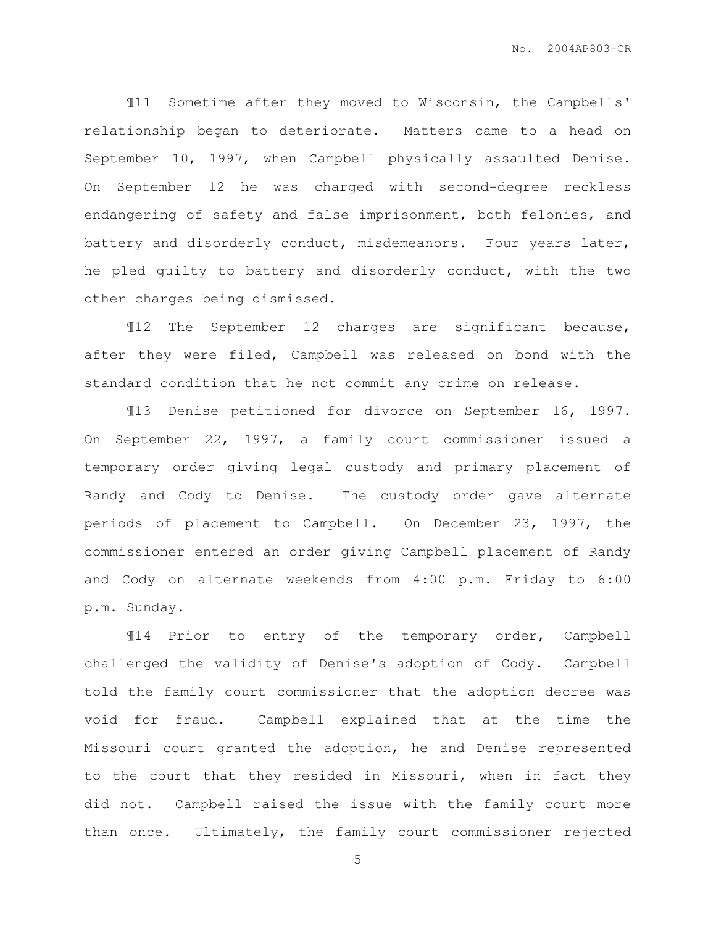¶11 Sometime after they moved to Wisconsin, the Campbells' relationship began to deteriorate. Matters came to a head on September 10, 1997, when Campbell physically assaulted Denise. On September 12 he was charged with second-degree reckless endangering of safety and false imprisonment, both felonies, and battery and disorderly conduct, misdemeanors. Four years later, he pled guilty to battery and disorderly conduct, with the two other charges being dismissed.

¶12 The September 12 charges are significant because, after they were filed, Campbell was released on bond with the standard condition that he not commit any crime on release.

¶13 Denise petitioned for divorce on September 16, 1997. On September 22, 1997, a family court commissioner issued a temporary order giving legal custody and primary placement of Randy and Cody to Denise. The custody order gave alternate periods of placement to Campbell. On December 23, 1997, the commissioner entered an order giving Campbell placement of Randy and Cody on alternate weekends from 4:00 p.m. Friday to 6:00 p.m. Sunday.

¶14 Prior to entry of the temporary order, Campbell challenged the validity of Denise's adoption of Cody. Campbell told the family court commissioner that the adoption decree was void for fraud. Campbell explained that at the time the Missouri court granted the adoption, he and Denise represented to the court that they resided in Missouri, when in fact they did not. Campbell raised the issue with the family court more than once. Ultimately, the family court commissioner rejected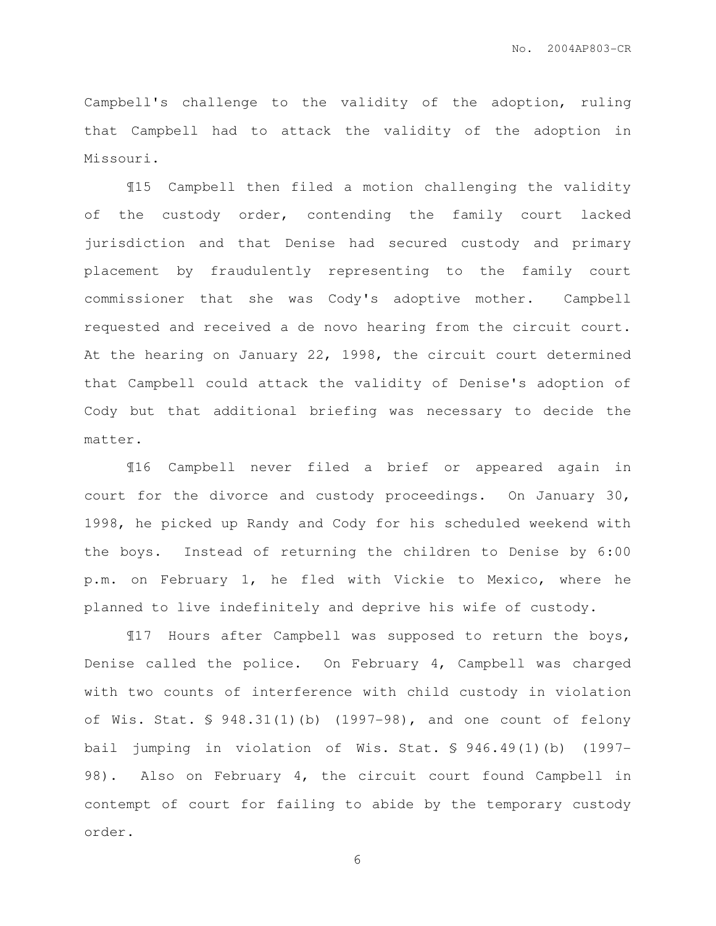Campbell's challenge to the validity of the adoption, ruling that Campbell had to attack the validity of the adoption in Missouri.

 ¶15 Campbell then filed a motion challenging the validity of the custody order, contending the family court lacked jurisdiction and that Denise had secured custody and primary placement by fraudulently representing to the family court commissioner that she was Cody's adoptive mother. Campbell requested and received a de novo hearing from the circuit court. At the hearing on January 22, 1998, the circuit court determined that Campbell could attack the validity of Denise's adoption of Cody but that additional briefing was necessary to decide the matter.

 ¶16 Campbell never filed a brief or appeared again in court for the divorce and custody proceedings. On January 30, 1998, he picked up Randy and Cody for his scheduled weekend with the boys. Instead of returning the children to Denise by 6:00 p.m. on February 1, he fled with Vickie to Mexico, where he planned to live indefinitely and deprive his wife of custody.

¶17 Hours after Campbell was supposed to return the boys, Denise called the police. On February 4, Campbell was charged with two counts of interference with child custody in violation of Wis. Stat. § 948.31(1)(b) (1997-98), and one count of felony bail jumping in violation of Wis. Stat. § 946.49(1)(b) (1997- 98). Also on February 4, the circuit court found Campbell in contempt of court for failing to abide by the temporary custody order.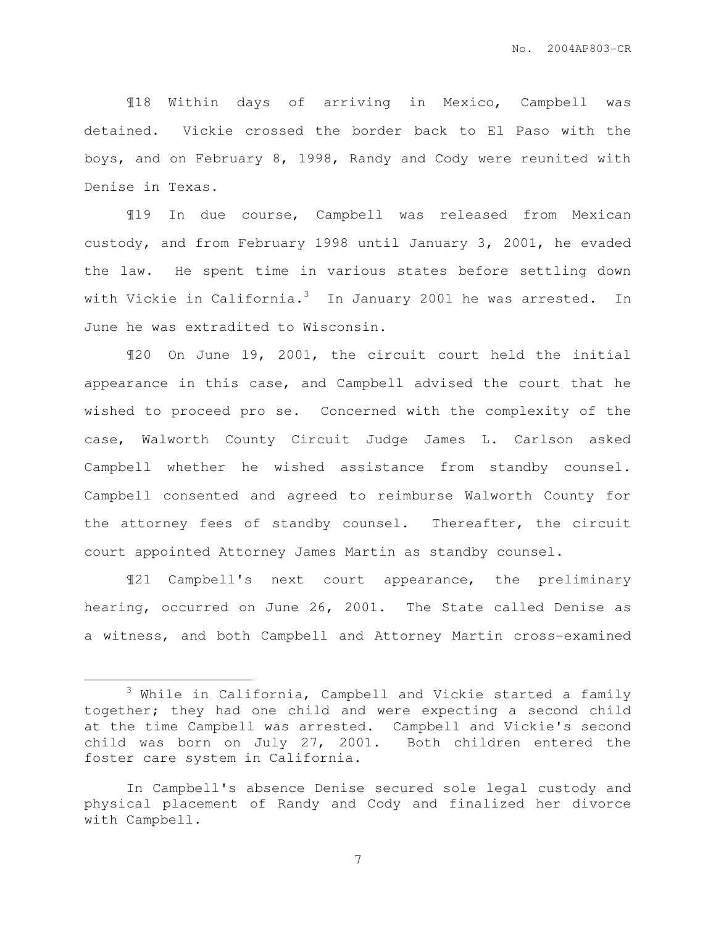¶18 Within days of arriving in Mexico, Campbell was detained. Vickie crossed the border back to El Paso with the boys, and on February 8, 1998, Randy and Cody were reunited with Denise in Texas.

 ¶19 In due course, Campbell was released from Mexican custody, and from February 1998 until January 3, 2001, he evaded the law. He spent time in various states before settling down with Vickie in California. $3$  In January 2001 he was arrested. In June he was extradited to Wisconsin.

¶20 On June 19, 2001, the circuit court held the initial appearance in this case, and Campbell advised the court that he wished to proceed pro se. Concerned with the complexity of the case, Walworth County Circuit Judge James L. Carlson asked Campbell whether he wished assistance from standby counsel. Campbell consented and agreed to reimburse Walworth County for the attorney fees of standby counsel. Thereafter, the circuit court appointed Attorney James Martin as standby counsel.

 ¶21 Campbell's next court appearance, the preliminary hearing, occurred on June 26, 2001. The State called Denise as a witness, and both Campbell and Attorney Martin cross-examined

 $\overline{a}$ 

 $3$  While in California, Campbell and Vickie started a family together; they had one child and were expecting a second child at the time Campbell was arrested. Campbell and Vickie's second child was born on July 27, 2001. Both children entered the foster care system in California.

In Campbell's absence Denise secured sole legal custody and physical placement of Randy and Cody and finalized her divorce with Campbell.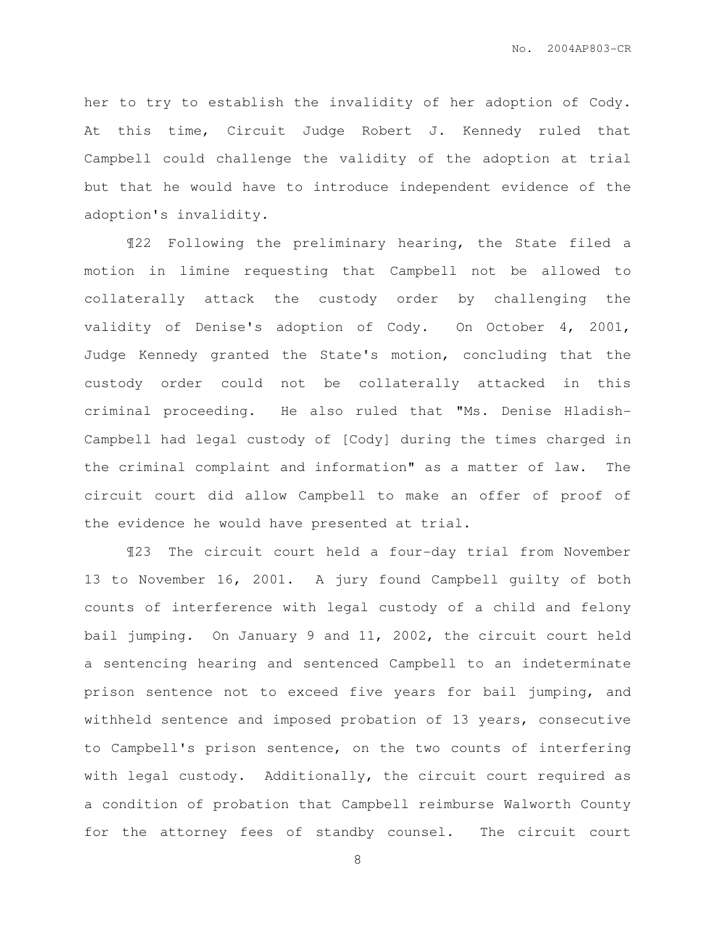her to try to establish the invalidity of her adoption of Cody. At this time, Circuit Judge Robert J. Kennedy ruled that Campbell could challenge the validity of the adoption at trial but that he would have to introduce independent evidence of the adoption's invalidity.

 ¶22 Following the preliminary hearing, the State filed a motion in limine requesting that Campbell not be allowed to collaterally attack the custody order by challenging the validity of Denise's adoption of Cody. On October 4, 2001, Judge Kennedy granted the State's motion, concluding that the custody order could not be collaterally attacked in this criminal proceeding. He also ruled that "Ms. Denise Hladish-Campbell had legal custody of [Cody] during the times charged in the criminal complaint and information" as a matter of law. The circuit court did allow Campbell to make an offer of proof of the evidence he would have presented at trial.

 ¶23 The circuit court held a four-day trial from November 13 to November 16, 2001. A jury found Campbell guilty of both counts of interference with legal custody of a child and felony bail jumping. On January 9 and 11, 2002, the circuit court held a sentencing hearing and sentenced Campbell to an indeterminate prison sentence not to exceed five years for bail jumping, and withheld sentence and imposed probation of 13 years, consecutive to Campbell's prison sentence, on the two counts of interfering with legal custody. Additionally, the circuit court required as a condition of probation that Campbell reimburse Walworth County for the attorney fees of standby counsel. The circuit court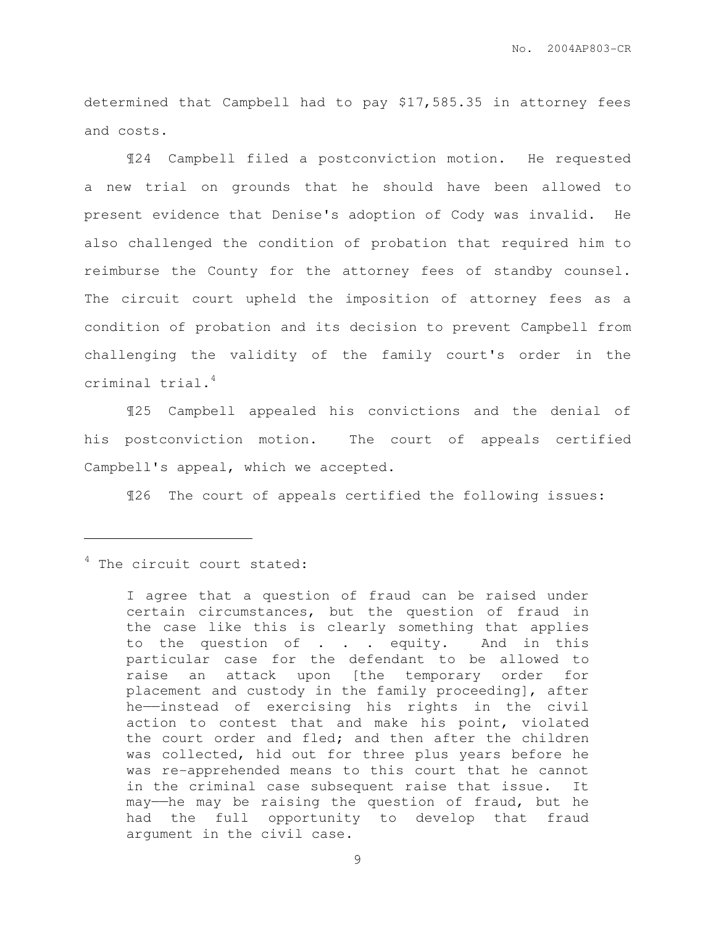determined that Campbell had to pay \$17,585.35 in attorney fees and costs.

 ¶24 Campbell filed a postconviction motion. He requested a new trial on grounds that he should have been allowed to present evidence that Denise's adoption of Cody was invalid. He also challenged the condition of probation that required him to reimburse the County for the attorney fees of standby counsel. The circuit court upheld the imposition of attorney fees as a condition of probation and its decision to prevent Campbell from challenging the validity of the family court's order in the criminal trial.<sup>4</sup>

 ¶25 Campbell appealed his convictions and the denial of his postconviction motion. The court of appeals certified Campbell's appeal, which we accepted.

¶26 The court of appeals certified the following issues:

### <sup>4</sup> The circuit court stated:

 $\overline{a}$ 

I agree that a question of fraud can be raised under certain circumstances, but the question of fraud in the case like this is clearly something that applies to the question of . . . equity. And in this particular case for the defendant to be allowed to raise an attack upon [the temporary order for placement and custody in the family proceeding], after he——instead of exercising his rights in the civil action to contest that and make his point, violated the court order and fled; and then after the children was collected, hid out for three plus years before he was re-apprehended means to this court that he cannot in the criminal case subsequent raise that issue. It may——he may be raising the question of fraud, but he had the full opportunity to develop that fraud argument in the civil case.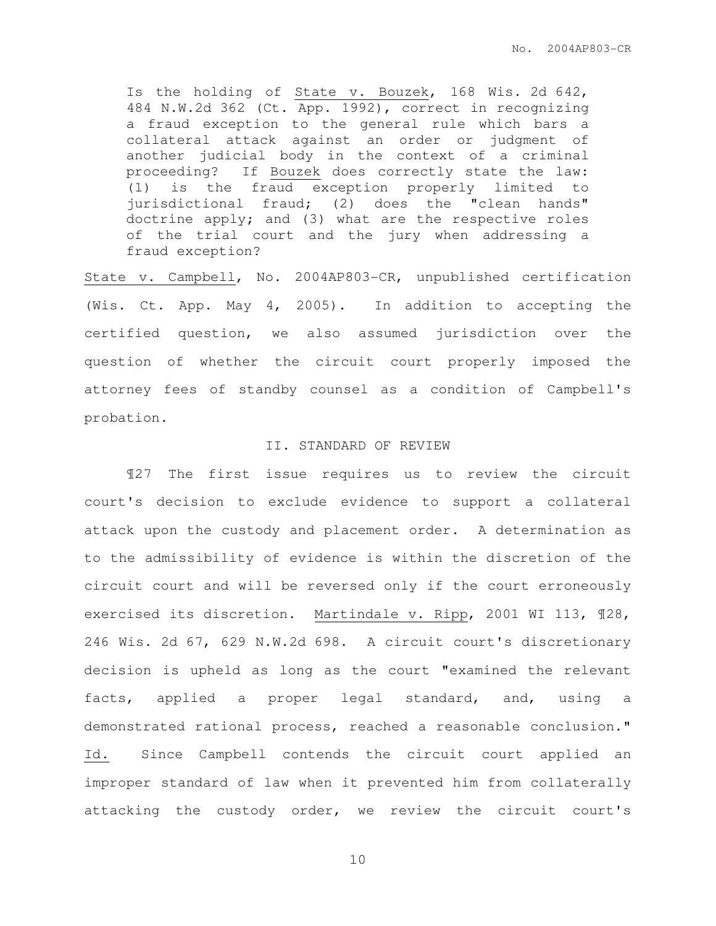Is the holding of State v. Bouzek, 168 Wis. 2d 642, 484 N.W.2d 362 (Ct. App. 1992), correct in recognizing a fraud exception to the general rule which bars a collateral attack against an order or judgment of another judicial body in the context of a criminal proceeding? If Bouzek does correctly state the law: (1) is the fraud exception properly limited to jurisdictional fraud; (2) does the "clean hands" doctrine apply; and (3) what are the respective roles of the trial court and the jury when addressing a fraud exception?

State v. Campbell, No. 2004AP803-CR, unpublished certification (Wis. Ct. App. May 4, 2005). In addition to accepting the certified question, we also assumed jurisdiction over the question of whether the circuit court properly imposed the attorney fees of standby counsel as a condition of Campbell's probation.

#### II. STANDARD OF REVIEW

 ¶27 The first issue requires us to review the circuit court's decision to exclude evidence to support a collateral attack upon the custody and placement order. A determination as to the admissibility of evidence is within the discretion of the circuit court and will be reversed only if the court erroneously exercised its discretion. Martindale v. Ripp, 2001 WI 113, ¶28, 246 Wis. 2d 67, 629 N.W.2d 698. A circuit court's discretionary decision is upheld as long as the court "examined the relevant facts, applied a proper legal standard, and, using a demonstrated rational process, reached a reasonable conclusion." Id. Since Campbell contends the circuit court applied an improper standard of law when it prevented him from collaterally attacking the custody order, we review the circuit court's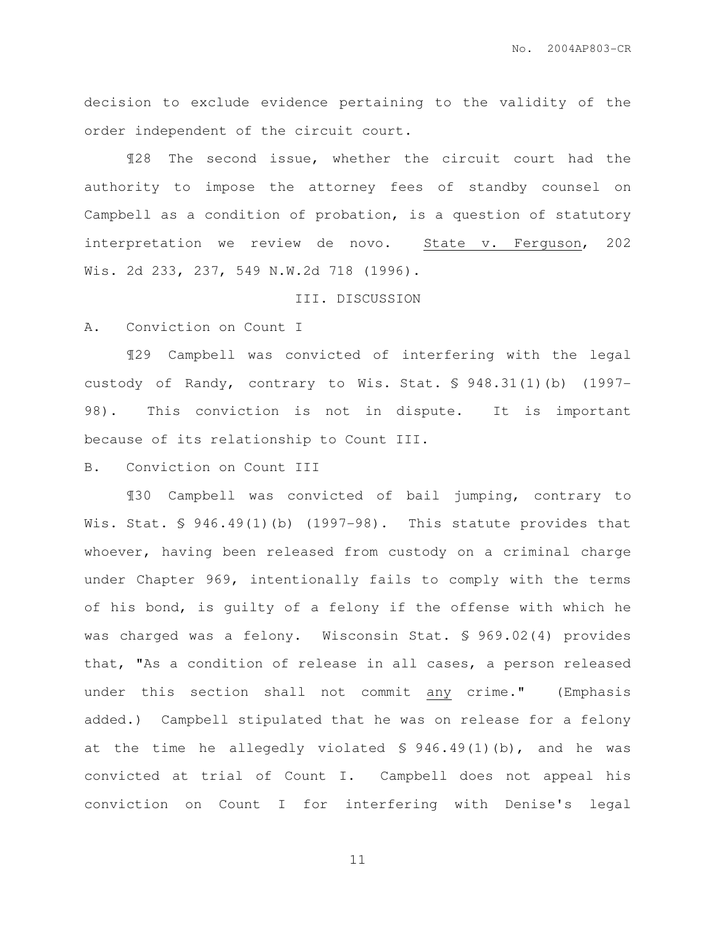decision to exclude evidence pertaining to the validity of the order independent of the circuit court.

 ¶28 The second issue, whether the circuit court had the authority to impose the attorney fees of standby counsel on Campbell as a condition of probation, is a question of statutory interpretation we review de novo. State v. Ferguson, 202 Wis. 2d 233, 237, 549 N.W.2d 718 (1996).

#### III. DISCUSSION

A. Conviction on Count I

 ¶29 Campbell was convicted of interfering with the legal custody of Randy, contrary to Wis. Stat. § 948.31(1)(b) (1997- 98). This conviction is not in dispute. It is important because of its relationship to Count III.

B. Conviction on Count III

 ¶30 Campbell was convicted of bail jumping, contrary to Wis. Stat. § 946.49(1)(b) (1997-98). This statute provides that whoever, having been released from custody on a criminal charge under Chapter 969, intentionally fails to comply with the terms of his bond, is guilty of a felony if the offense with which he was charged was a felony. Wisconsin Stat. § 969.02(4) provides that, "As a condition of release in all cases, a person released under this section shall not commit any crime." (Emphasis added.) Campbell stipulated that he was on release for a felony at the time he allegedly violated § 946.49(1)(b), and he was convicted at trial of Count I. Campbell does not appeal his conviction on Count I for interfering with Denise's legal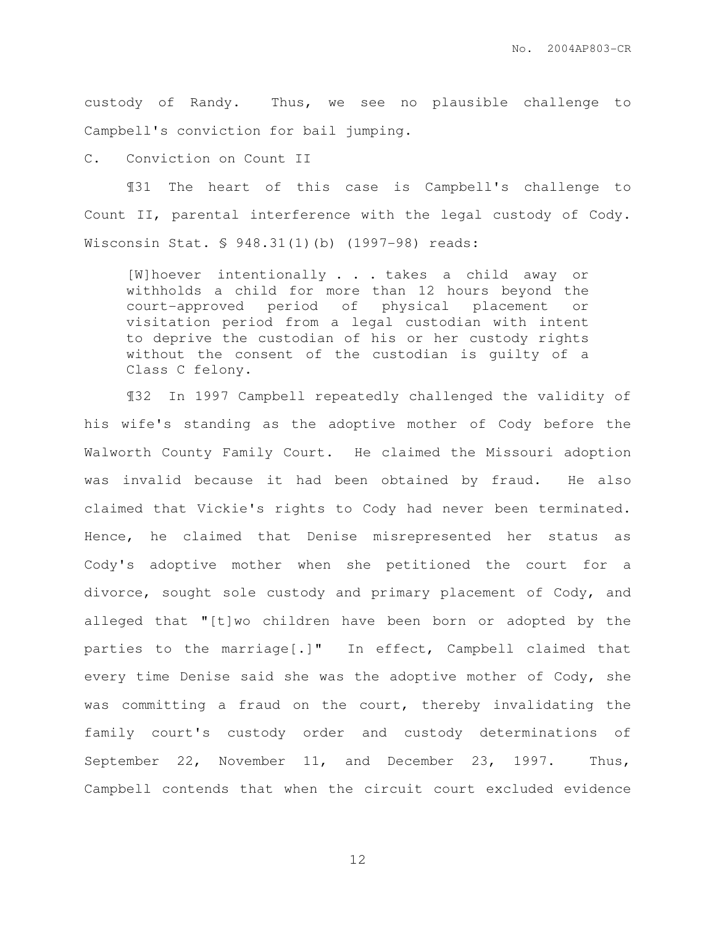custody of Randy. Thus, we see no plausible challenge to Campbell's conviction for bail jumping.

C. Conviction on Count II

 ¶31 The heart of this case is Campbell's challenge to Count II, parental interference with the legal custody of Cody. Wisconsin Stat. § 948.31(1)(b) (1997-98) reads:

[W]hoever intentionally . . . takes a child away or withholds a child for more than 12 hours beyond the court-approved period of physical placement or visitation period from a legal custodian with intent to deprive the custodian of his or her custody rights without the consent of the custodian is guilty of a Class C felony.

¶32 In 1997 Campbell repeatedly challenged the validity of his wife's standing as the adoptive mother of Cody before the Walworth County Family Court. He claimed the Missouri adoption was invalid because it had been obtained by fraud. He also claimed that Vickie's rights to Cody had never been terminated. Hence, he claimed that Denise misrepresented her status as Cody's adoptive mother when she petitioned the court for a divorce, sought sole custody and primary placement of Cody, and alleged that "[t]wo children have been born or adopted by the parties to the marriage[.]" In effect, Campbell claimed that every time Denise said she was the adoptive mother of Cody, she was committing a fraud on the court, thereby invalidating the family court's custody order and custody determinations of September 22, November 11, and December 23, 1997. Thus, Campbell contends that when the circuit court excluded evidence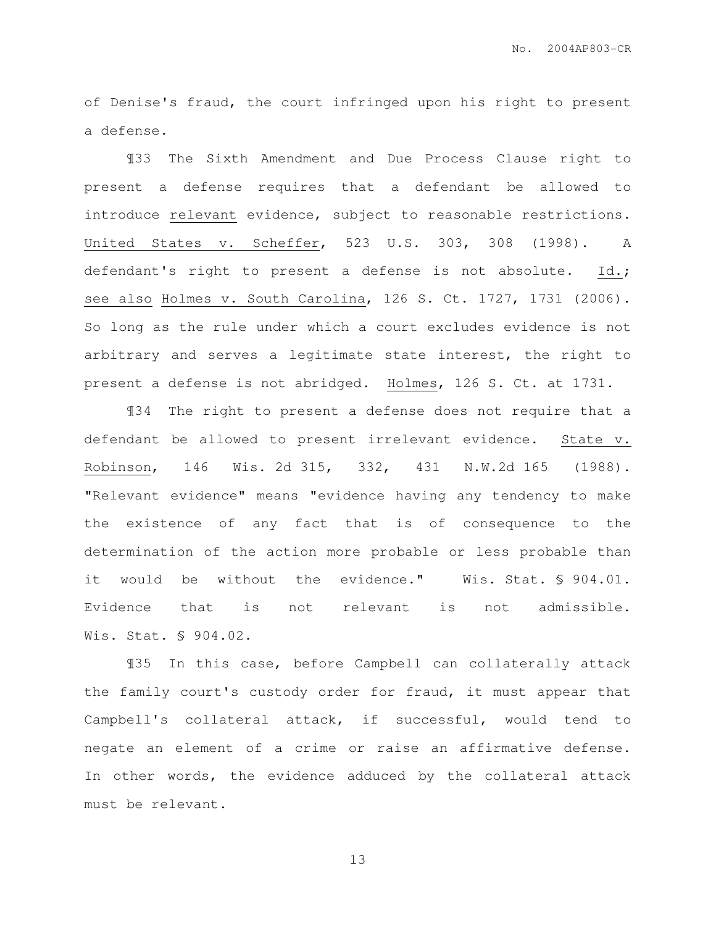of Denise's fraud, the court infringed upon his right to present a defense.

¶33 The Sixth Amendment and Due Process Clause right to present a defense requires that a defendant be allowed to introduce relevant evidence, subject to reasonable restrictions. United States v. Scheffer, 523 U.S. 303, 308 (1998). A defendant's right to present a defense is not absolute. Id.; see also Holmes v. South Carolina, 126 S. Ct. 1727, 1731 (2006). So long as the rule under which a court excludes evidence is not arbitrary and serves a legitimate state interest, the right to present a defense is not abridged. Holmes, 126 S. Ct. at 1731.

¶34 The right to present a defense does not require that a defendant be allowed to present irrelevant evidence. State v. Robinson, 146 Wis. 2d 315, 332, 431 N.W.2d 165 (1988). "Relevant evidence" means "evidence having any tendency to make the existence of any fact that is of consequence to the determination of the action more probable or less probable than it would be without the evidence." Wis. Stat. § 904.01. Evidence that is not relevant is not admissible. Wis. Stat. § 904.02.

¶35 In this case, before Campbell can collaterally attack the family court's custody order for fraud, it must appear that Campbell's collateral attack, if successful, would tend to negate an element of a crime or raise an affirmative defense. In other words, the evidence adduced by the collateral attack must be relevant.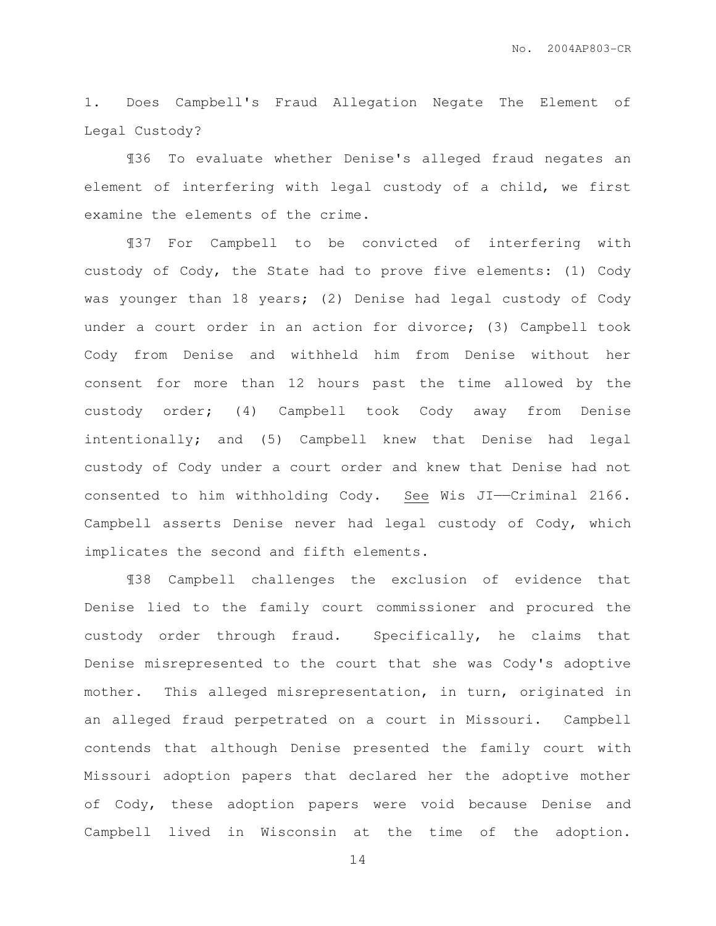1. Does Campbell's Fraud Allegation Negate The Element of Legal Custody?

¶36 To evaluate whether Denise's alleged fraud negates an element of interfering with legal custody of a child, we first examine the elements of the crime.

¶37 For Campbell to be convicted of interfering with custody of Cody, the State had to prove five elements: (1) Cody was younger than 18 years; (2) Denise had legal custody of Cody under a court order in an action for divorce; (3) Campbell took Cody from Denise and withheld him from Denise without her consent for more than 12 hours past the time allowed by the custody order; (4) Campbell took Cody away from Denise intentionally; and (5) Campbell knew that Denise had legal custody of Cody under a court order and knew that Denise had not consented to him withholding Cody. See Wis JI——Criminal 2166. Campbell asserts Denise never had legal custody of Cody, which implicates the second and fifth elements.

¶38 Campbell challenges the exclusion of evidence that Denise lied to the family court commissioner and procured the custody order through fraud. Specifically, he claims that Denise misrepresented to the court that she was Cody's adoptive mother. This alleged misrepresentation, in turn, originated in an alleged fraud perpetrated on a court in Missouri. Campbell contends that although Denise presented the family court with Missouri adoption papers that declared her the adoptive mother of Cody, these adoption papers were void because Denise and Campbell lived in Wisconsin at the time of the adoption.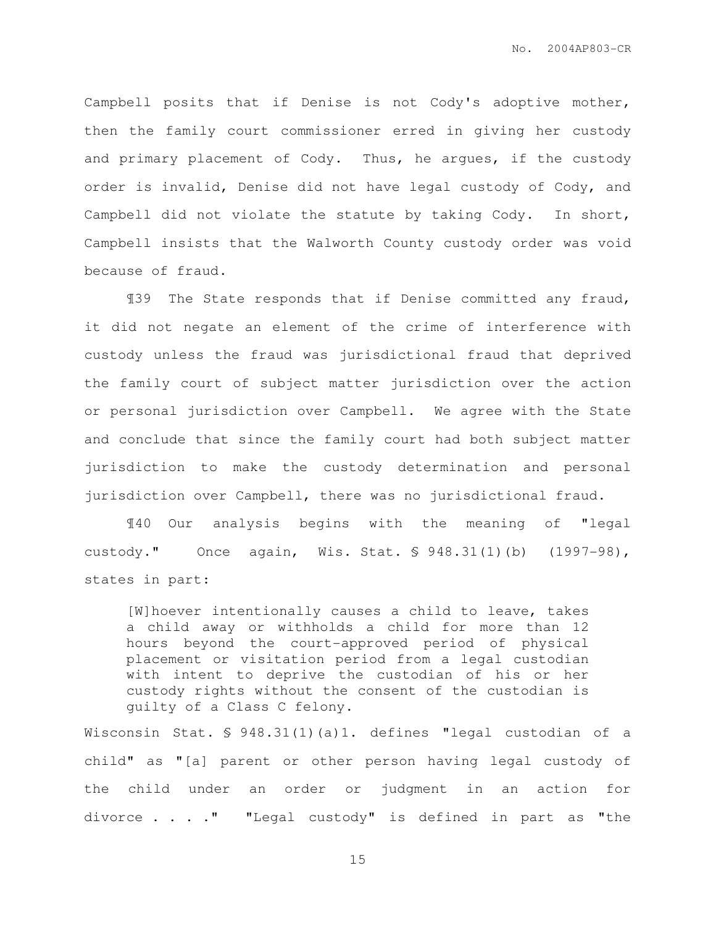Campbell posits that if Denise is not Cody's adoptive mother, then the family court commissioner erred in giving her custody and primary placement of Cody. Thus, he argues, if the custody order is invalid, Denise did not have legal custody of Cody, and Campbell did not violate the statute by taking Cody. In short, Campbell insists that the Walworth County custody order was void because of fraud.

¶39 The State responds that if Denise committed any fraud, it did not negate an element of the crime of interference with custody unless the fraud was jurisdictional fraud that deprived the family court of subject matter jurisdiction over the action or personal jurisdiction over Campbell. We agree with the State and conclude that since the family court had both subject matter jurisdiction to make the custody determination and personal jurisdiction over Campbell, there was no jurisdictional fraud.

¶40 Our analysis begins with the meaning of "legal custody." Once again, Wis. Stat. § 948.31(1)(b) (1997-98), states in part:

[W]hoever intentionally causes a child to leave, takes a child away or withholds a child for more than 12 hours beyond the court-approved period of physical placement or visitation period from a legal custodian with intent to deprive the custodian of his or her custody rights without the consent of the custodian is guilty of a Class C felony.

Wisconsin Stat. § 948.31(1)(a)1. defines "legal custodian of a child" as "[a] parent or other person having legal custody of the child under an order or judgment in an action for divorce  $\ldots$  . . " "Legal custody" is defined in part as "the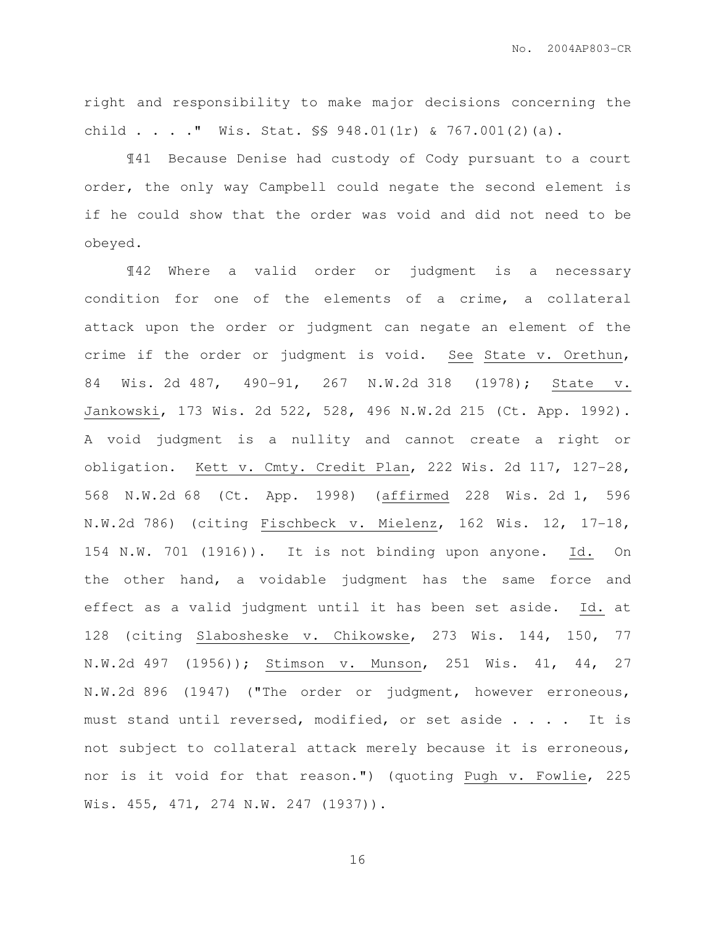right and responsibility to make major decisions concerning the child . . . . " Wis. Stat.  $\S$ \$ 948.01(1r) & 767.001(2)(a).

 ¶41 Because Denise had custody of Cody pursuant to a court order, the only way Campbell could negate the second element is if he could show that the order was void and did not need to be obeyed.

¶42 Where a valid order or judgment is a necessary condition for one of the elements of a crime, a collateral attack upon the order or judgment can negate an element of the crime if the order or judgment is void. See State v. Orethun, 84 Wis. 2d 487, 490-91, 267 N.W.2d 318 (1978); State v. Jankowski, 173 Wis. 2d 522, 528, 496 N.W.2d 215 (Ct. App. 1992). A void judgment is a nullity and cannot create a right or obligation. Kett v. Cmty. Credit Plan, 222 Wis. 2d 117, 127-28, 568 N.W.2d 68 (Ct. App. 1998) (affirmed 228 Wis. 2d 1, 596 N.W.2d 786) (citing Fischbeck v. Mielenz, 162 Wis. 12, 17-18, 154 N.W. 701 (1916)). It is not binding upon anyone. Id. On the other hand, a voidable judgment has the same force and effect as a valid judgment until it has been set aside. Id. at 128 (citing Slabosheske v. Chikowske, 273 Wis. 144, 150, 77 N.W.2d 497 (1956)); Stimson v. Munson, 251 Wis. 41, 44, 27 N.W.2d 896 (1947) ("The order or judgment, however erroneous, must stand until reversed, modified, or set aside . . . . It is not subject to collateral attack merely because it is erroneous, nor is it void for that reason.") (quoting Pugh v. Fowlie, 225 Wis. 455, 471, 274 N.W. 247 (1937)).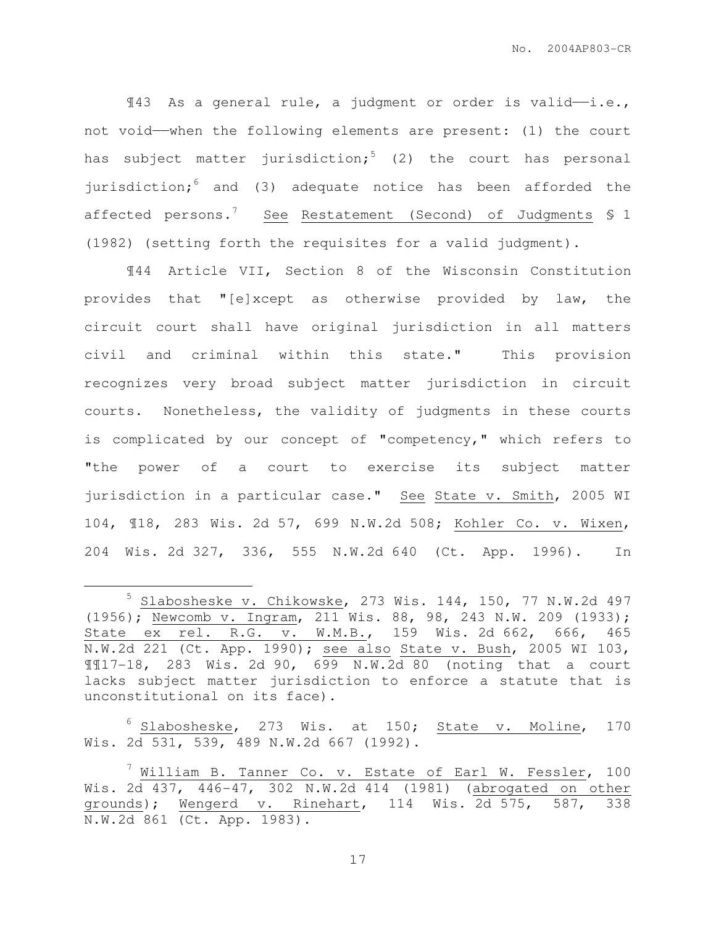$\texttt{M}3$  As a general rule, a judgment or order is valid-i.e., not void——when the following elements are present: (1) the court has subject matter jurisdiction;<sup>5</sup> (2) the court has personal jurisdiction; $6$  and (3) adequate notice has been afforded the affected persons.<sup>7</sup> See Restatement (Second) of Judgments § 1 (1982) (setting forth the requisites for a valid judgment).

¶44 Article VII, Section 8 of the Wisconsin Constitution provides that "[e]xcept as otherwise provided by law, the circuit court shall have original jurisdiction in all matters civil and criminal within this state." This provision recognizes very broad subject matter jurisdiction in circuit courts. Nonetheless, the validity of judgments in these courts is complicated by our concept of "competency," which refers to "the power of a court to exercise its subject matter jurisdiction in a particular case." See State v. Smith, 2005 WI 104, ¶18, 283 Wis. 2d 57, 699 N.W.2d 508; Kohler Co. v. Wixen, 204 Wis. 2d 327, 336, 555 N.W.2d 640 (Ct. App. 1996). In

 $\overline{a}$ 

 $6$  Slabosheske, 273 Wis. at 150; State v. Moline, 170 Wis. 2d 531, 539, 489 N.W.2d 667 (1992).

 $5$  Slabosheske v. Chikowske, 273 Wis. 144, 150, 77 N.W.2d 497 (1956); Newcomb v. Ingram, 211 Wis. 88, 98, 243 N.W. 209 (1933); State ex rel. R.G. v. W.M.B., 159 Wis. 2d 662, 666, 465 N.W.2d 221 (Ct. App. 1990); see also State v. Bush, 2005 WI 103, ¶¶17-18, 283 Wis. 2d 90, 699 N.W.2d 80 (noting that a court lacks subject matter jurisdiction to enforce a statute that is unconstitutional on its face).

 $^7$  William B. Tanner Co. v. Estate of Earl W. Fessler, 100 Wis. 2d 437, 446-47, 302 N.W.2d 414 (1981) (abrogated on other grounds); Wengerd v. Rinehart, 114 Wis. 2d 575, 587, 338 N.W.2d 861 (Ct. App. 1983).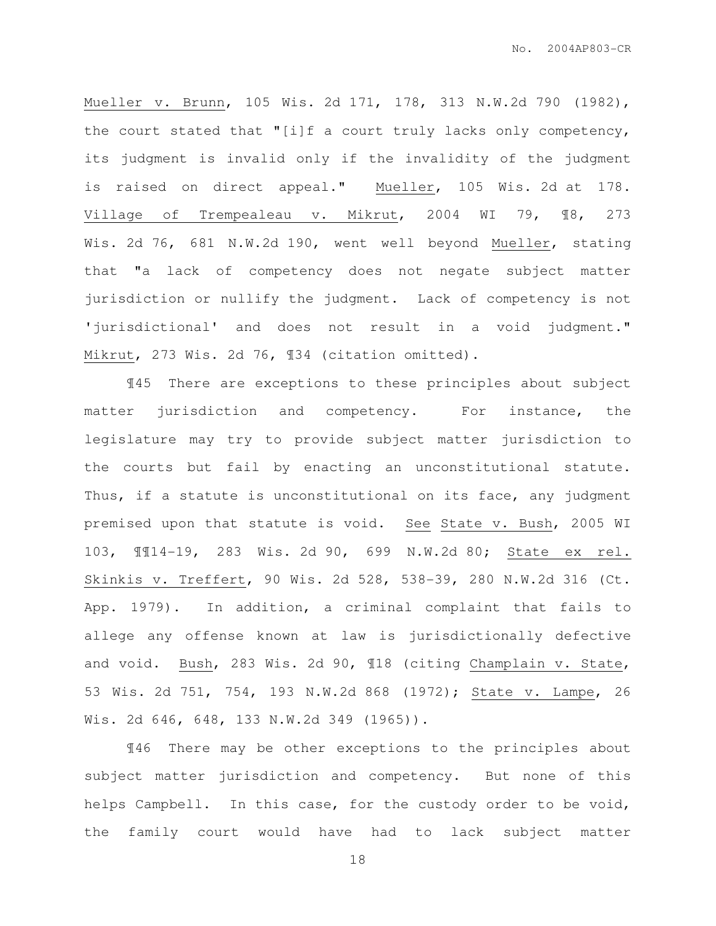Mueller v. Brunn, 105 Wis. 2d 171, 178, 313 N.W.2d 790 (1982), the court stated that "[i]f a court truly lacks only competency, its judgment is invalid only if the invalidity of the judgment is raised on direct appeal." Mueller, 105 Wis. 2d at 178. Village of Trempealeau v. Mikrut, 2004 WI 79, ¶8, 273 Wis. 2d 76, 681 N.W.2d 190, went well beyond Mueller, stating that "a lack of competency does not negate subject matter jurisdiction or nullify the judgment. Lack of competency is not 'jurisdictional' and does not result in a void judgment." Mikrut, 273 Wis. 2d 76, ¶34 (citation omitted).

¶45 There are exceptions to these principles about subject matter jurisdiction and competency. For instance, the legislature may try to provide subject matter jurisdiction to the courts but fail by enacting an unconstitutional statute. Thus, if a statute is unconstitutional on its face, any judgment premised upon that statute is void. See State v. Bush, 2005 WI 103, ¶¶14-19, 283 Wis. 2d 90, 699 N.W.2d 80; State ex rel. Skinkis v. Treffert, 90 Wis. 2d 528, 538-39, 280 N.W.2d 316 (Ct. App. 1979). In addition, a criminal complaint that fails to allege any offense known at law is jurisdictionally defective and void. Bush, 283 Wis. 2d 90, ¶18 (citing Champlain v. State, 53 Wis. 2d 751, 754, 193 N.W.2d 868 (1972); State v. Lampe, 26 Wis. 2d 646, 648, 133 N.W.2d 349 (1965)).

¶46 There may be other exceptions to the principles about subject matter jurisdiction and competency. But none of this helps Campbell. In this case, for the custody order to be void, the family court would have had to lack subject matter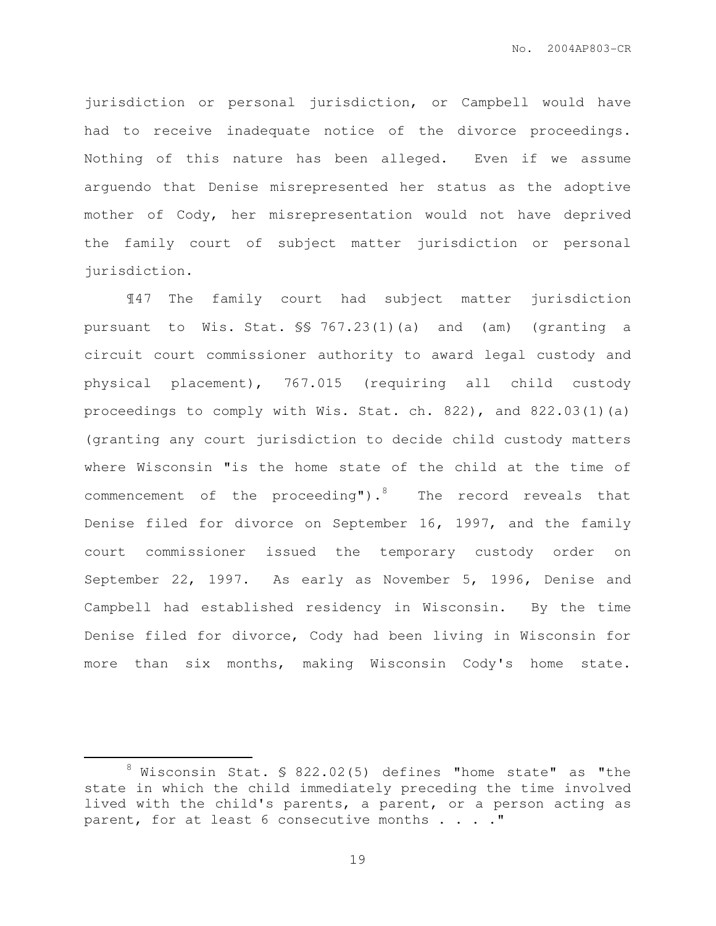jurisdiction or personal jurisdiction, or Campbell would have had to receive inadequate notice of the divorce proceedings. Nothing of this nature has been alleged. Even if we assume arguendo that Denise misrepresented her status as the adoptive mother of Cody, her misrepresentation would not have deprived the family court of subject matter jurisdiction or personal jurisdiction.

 ¶47 The family court had subject matter jurisdiction pursuant to Wis. Stat. §§ 767.23(1)(a) and (am) (granting a circuit court commissioner authority to award legal custody and physical placement), 767.015 (requiring all child custody proceedings to comply with Wis. Stat. ch. 822), and 822.03(1)(a) (granting any court jurisdiction to decide child custody matters where Wisconsin "is the home state of the child at the time of commencement of the proceeding"). $8$  The record reveals that Denise filed for divorce on September 16, 1997, and the family court commissioner issued the temporary custody order on September 22, 1997. As early as November 5, 1996, Denise and Campbell had established residency in Wisconsin. By the time Denise filed for divorce, Cody had been living in Wisconsin for more than six months, making Wisconsin Cody's home state.

 $\overline{a}$ 

 $8$  Wisconsin Stat. § 822.02(5) defines "home state" as "the state in which the child immediately preceding the time involved lived with the child's parents, a parent, or a person acting as parent, for at least 6 consecutive months . . . . "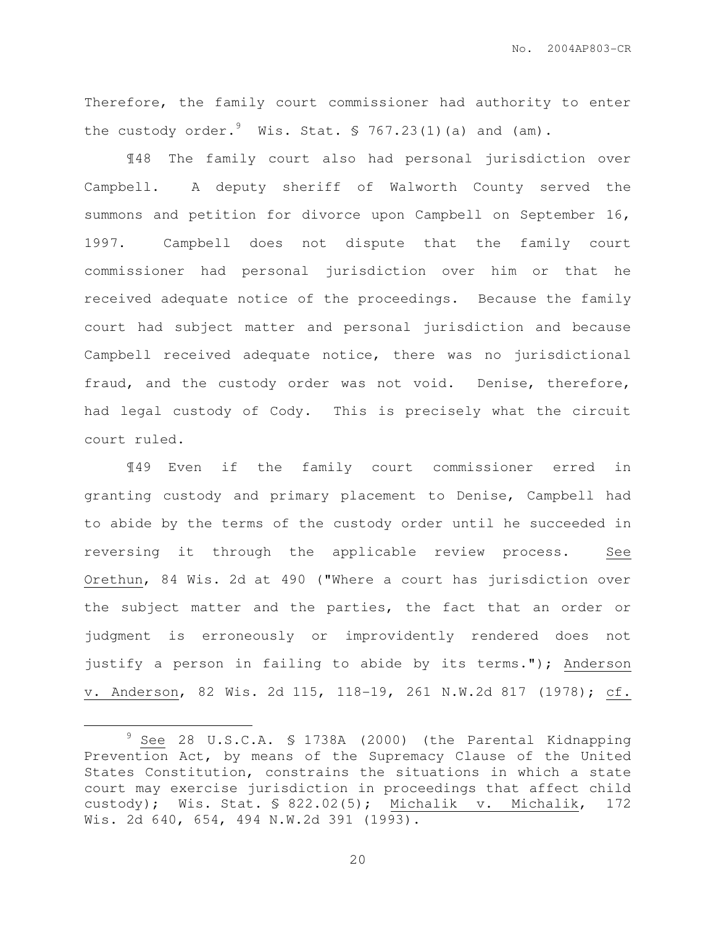Therefore, the family court commissioner had authority to enter the custody order.  $\frac{9}{10}$  Wis. Stat. § 767.23(1)(a) and (am).

 ¶48 The family court also had personal jurisdiction over Campbell. A deputy sheriff of Walworth County served the summons and petition for divorce upon Campbell on September 16, 1997. Campbell does not dispute that the family court commissioner had personal jurisdiction over him or that he received adequate notice of the proceedings. Because the family court had subject matter and personal jurisdiction and because Campbell received adequate notice, there was no jurisdictional fraud, and the custody order was not void. Denise, therefore, had legal custody of Cody. This is precisely what the circuit court ruled.

 ¶49 Even if the family court commissioner erred in granting custody and primary placement to Denise, Campbell had to abide by the terms of the custody order until he succeeded in reversing it through the applicable review process. See Orethun, 84 Wis. 2d at 490 ("Where a court has jurisdiction over the subject matter and the parties, the fact that an order or judgment is erroneously or improvidently rendered does not justify a person in failing to abide by its terms."); Anderson v. Anderson, 82 Wis. 2d 115, 118-19, 261 N.W.2d 817 (1978); cf.

 $\overline{a}$ 

<sup>9</sup> See 28 U.S.C.A. § 1738A (2000) (the Parental Kidnapping Prevention Act, by means of the Supremacy Clause of the United States Constitution, constrains the situations in which a state court may exercise jurisdiction in proceedings that affect child custody); Wis. Stat. § 822.02(5); Michalik v. Michalik, 172 Wis. 2d 640, 654, 494 N.W.2d 391 (1993).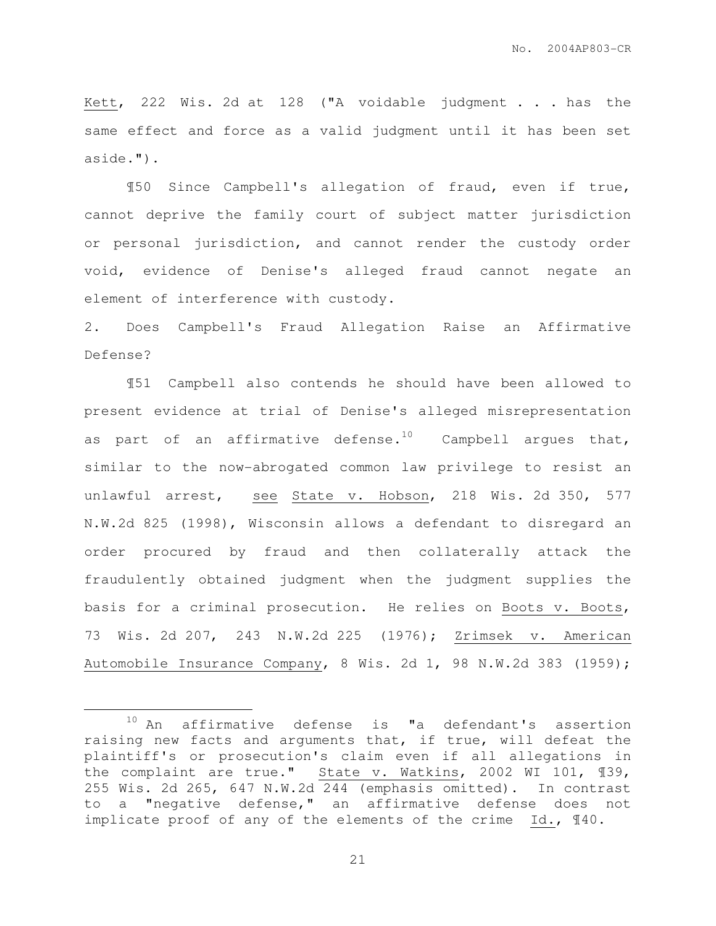Kett, 222 Wis. 2d at 128 ("A voidable judgment . . . has the same effect and force as a valid judgment until it has been set aside.").

¶50 Since Campbell's allegation of fraud, even if true, cannot deprive the family court of subject matter jurisdiction or personal jurisdiction, and cannot render the custody order void, evidence of Denise's alleged fraud cannot negate an element of interference with custody.

2. Does Campbell's Fraud Allegation Raise an Affirmative Defense?

¶51 Campbell also contends he should have been allowed to present evidence at trial of Denise's alleged misrepresentation as part of an affirmative defense.<sup>10</sup> Campbell argues that, similar to the now-abrogated common law privilege to resist an unlawful arrest, see State v. Hobson, 218 Wis. 2d 350, 577 N.W.2d 825 (1998), Wisconsin allows a defendant to disregard an order procured by fraud and then collaterally attack the fraudulently obtained judgment when the judgment supplies the basis for a criminal prosecution. He relies on Boots v. Boots, 73 Wis. 2d 207, 243 N.W.2d 225 (1976); Zrimsek v. American Automobile Insurance Company, 8 Wis. 2d 1, 98 N.W.2d 383 (1959);

 $\overline{a}$ 

<sup>10</sup> An affirmative defense is "a defendant's assertion raising new facts and arguments that, if true, will defeat the plaintiff's or prosecution's claim even if all allegations in the complaint are true." State v. Watkins, 2002 WI 101, ¶39, 255 Wis. 2d 265, 647 N.W.2d 244 (emphasis omitted). In contrast to a "negative defense," an affirmative defense does not implicate proof of any of the elements of the crime Id., ¶40.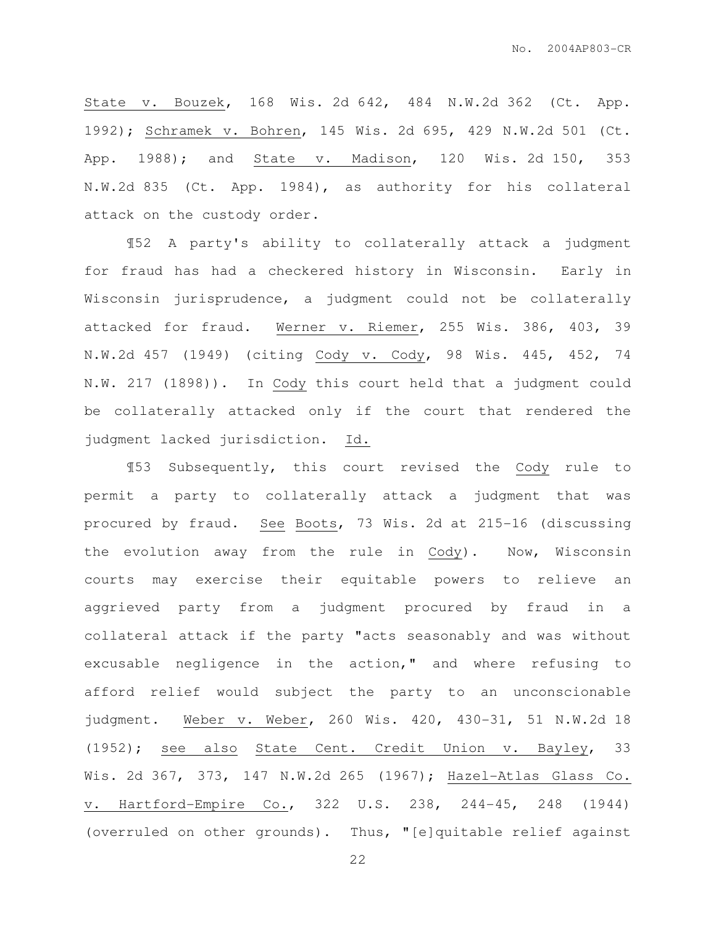State v. Bouzek, 168 Wis. 2d 642, 484 N.W.2d 362 (Ct. App. 1992); Schramek v. Bohren, 145 Wis. 2d 695, 429 N.W.2d 501 (Ct. App. 1988); and State v. Madison, 120 Wis. 2d 150, 353 N.W.2d 835 (Ct. App. 1984), as authority for his collateral attack on the custody order.

¶52 A party's ability to collaterally attack a judgment for fraud has had a checkered history in Wisconsin. Early in Wisconsin jurisprudence, a judgment could not be collaterally attacked for fraud. Werner v. Riemer, 255 Wis. 386, 403, 39 N.W.2d 457 (1949) (citing Cody v. Cody, 98 Wis. 445, 452, 74 N.W. 217 (1898)). In Cody this court held that a judgment could be collaterally attacked only if the court that rendered the judgment lacked jurisdiction. Id.

¶53 Subsequently, this court revised the Cody rule to permit a party to collaterally attack a judgment that was procured by fraud. See Boots, 73 Wis. 2d at 215-16 (discussing the evolution away from the rule in Cody). Now, Wisconsin courts may exercise their equitable powers to relieve an aggrieved party from a judgment procured by fraud in a collateral attack if the party "acts seasonably and was without excusable negligence in the action," and where refusing to afford relief would subject the party to an unconscionable judgment. Weber v. Weber, 260 Wis. 420, 430-31, 51 N.W.2d 18 (1952); see also State Cent. Credit Union v. Bayley, 33 Wis. 2d 367, 373, 147 N.W.2d 265 (1967); Hazel-Atlas Glass Co. v. Hartford-Empire Co., 322 U.S. 238, 244-45, 248 (1944) (overruled on other grounds). Thus, "[e]quitable relief against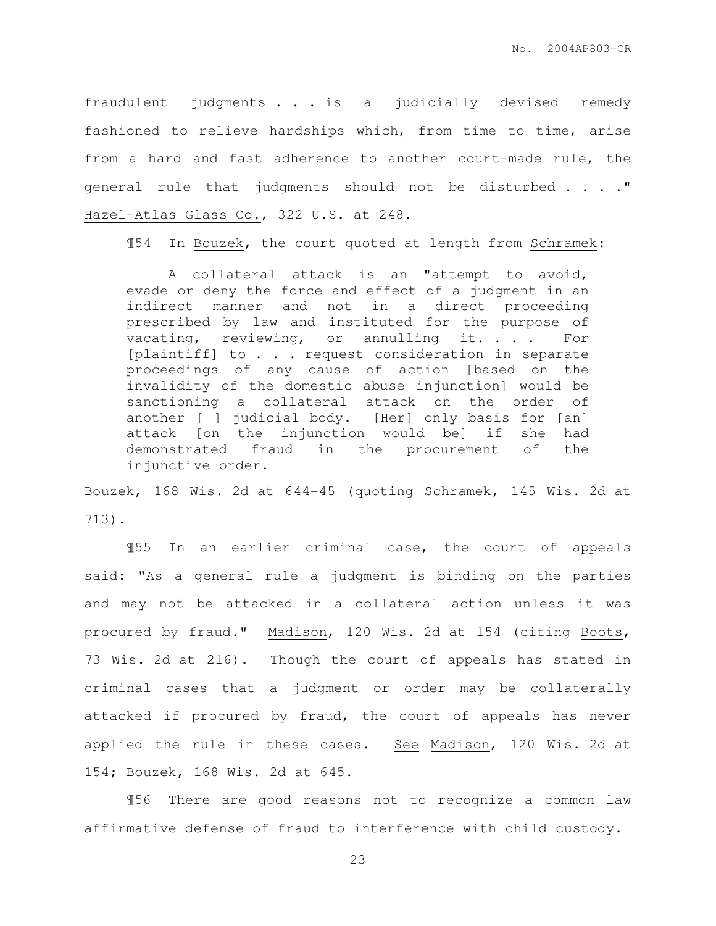fraudulent judgments . . . is a judicially devised remedy fashioned to relieve hardships which, from time to time, arise from a hard and fast adherence to another court-made rule, the general rule that judgments should not be disturbed . . . . " Hazel-Atlas Glass Co., 322 U.S. at 248.

¶54 In Bouzek, the court quoted at length from Schramek:

 A collateral attack is an "attempt to avoid, evade or deny the force and effect of a judgment in an indirect manner and not in a direct proceeding prescribed by law and instituted for the purpose of vacating, reviewing, or annulling it. . . . For [plaintiff] to . . . request consideration in separate proceedings of any cause of action [based on the invalidity of the domestic abuse injunction] would be sanctioning a collateral attack on the order of another [ ] judicial body. [Her] only basis for [an] attack [on the injunction would be] if she had demonstrated fraud in the procurement of the injunctive order.

Bouzek, 168 Wis. 2d at 644-45 (quoting Schramek, 145 Wis. 2d at 713).

¶55 In an earlier criminal case, the court of appeals said: "As a general rule a judgment is binding on the parties and may not be attacked in a collateral action unless it was procured by fraud." Madison, 120 Wis. 2d at 154 (citing Boots, 73 Wis. 2d at 216). Though the court of appeals has stated in criminal cases that a judgment or order may be collaterally attacked if procured by fraud, the court of appeals has never applied the rule in these cases. See Madison, 120 Wis. 2d at 154; Bouzek, 168 Wis. 2d at 645.

¶56 There are good reasons not to recognize a common law affirmative defense of fraud to interference with child custody.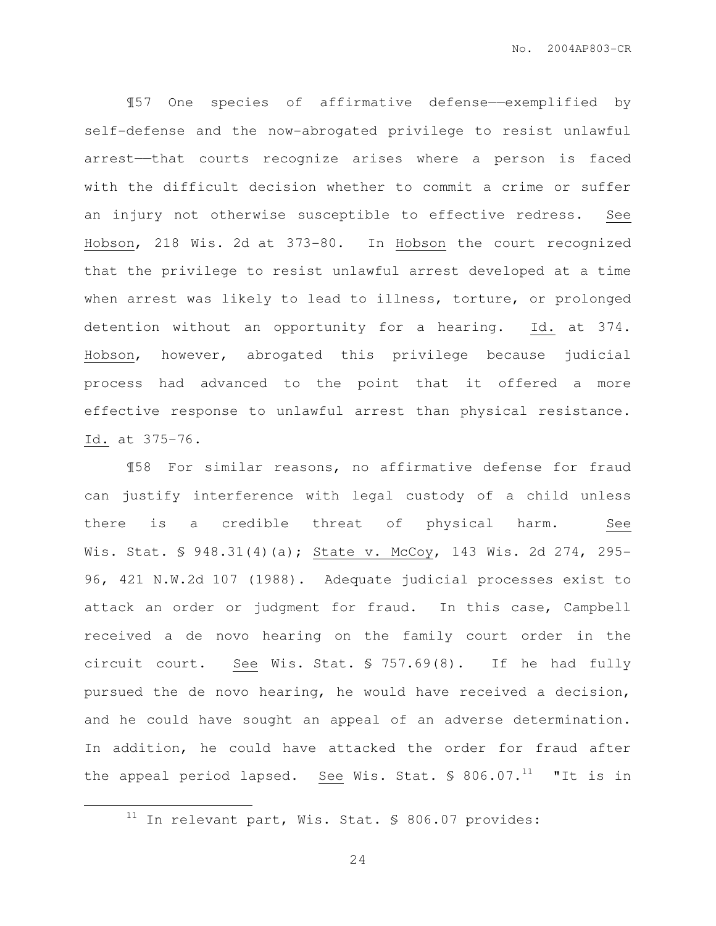¶57 One species of affirmative defense——exemplified by self-defense and the now-abrogated privilege to resist unlawful arrest——that courts recognize arises where a person is faced with the difficult decision whether to commit a crime or suffer an injury not otherwise susceptible to effective redress. See Hobson, 218 Wis. 2d at 373-80. In Hobson the court recognized that the privilege to resist unlawful arrest developed at a time when arrest was likely to lead to illness, torture, or prolonged detention without an opportunity for a hearing. Id. at 374. Hobson, however, abrogated this privilege because judicial process had advanced to the point that it offered a more effective response to unlawful arrest than physical resistance. Id. at 375-76.

¶58 For similar reasons, no affirmative defense for fraud can justify interference with legal custody of a child unless there is a credible threat of physical harm. See Wis. Stat. § 948.31(4)(a); State v. McCoy, 143 Wis. 2d 274, 295-96, 421 N.W.2d 107 (1988). Adequate judicial processes exist to attack an order or judgment for fraud. In this case, Campbell received a de novo hearing on the family court order in the circuit court. See Wis. Stat. § 757.69(8). If he had fully pursued the de novo hearing, he would have received a decision, and he could have sought an appeal of an adverse determination. In addition, he could have attacked the order for fraud after the appeal period lapsed. See Wis. Stat.  $\$806.07.^{11}$  "It is in

 $\overline{a}$ 

 $11$  In relevant part, Wis. Stat. § 806.07 provides: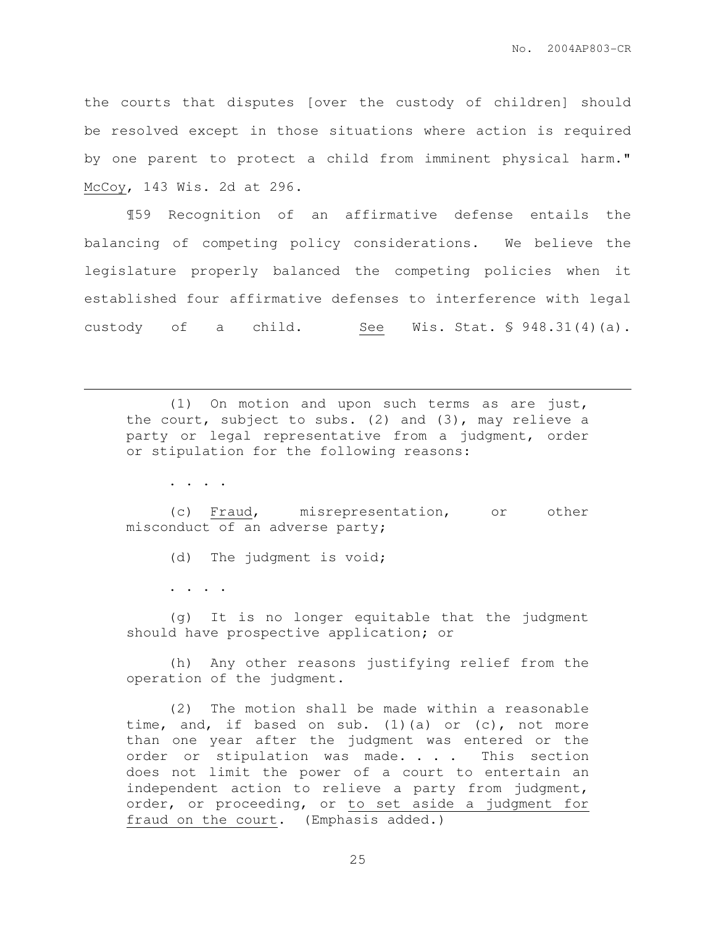the courts that disputes [over the custody of children] should be resolved except in those situations where action is required by one parent to protect a child from imminent physical harm." McCoy, 143 Wis. 2d at 296.

¶59 Recognition of an affirmative defense entails the balancing of competing policy considerations. We believe the legislature properly balanced the competing policies when it established four affirmative defenses to interference with legal custody of a child. See Wis. Stat.  $\frac{1}{2}$  948.31(4)(a).

(1) On motion and upon such terms as are just, the court, subject to subs. (2) and (3), may relieve a party or legal representative from a judgment, order or stipulation for the following reasons:

. . . .

 $\overline{a}$ 

(c) Fraud, misrepresentation, or other misconduct of an adverse party;

(d) The judgment is void;

. . . .

(g) It is no longer equitable that the judgment should have prospective application; or

(h) Any other reasons justifying relief from the operation of the judgment.

(2) The motion shall be made within a reasonable time, and, if based on sub. (1)(a) or  $(c)$ , not more than one year after the judgment was entered or the order or stipulation was made. . . . This section does not limit the power of a court to entertain an independent action to relieve a party from judgment, order, or proceeding, or to set aside a judgment for fraud on the court. (Emphasis added.)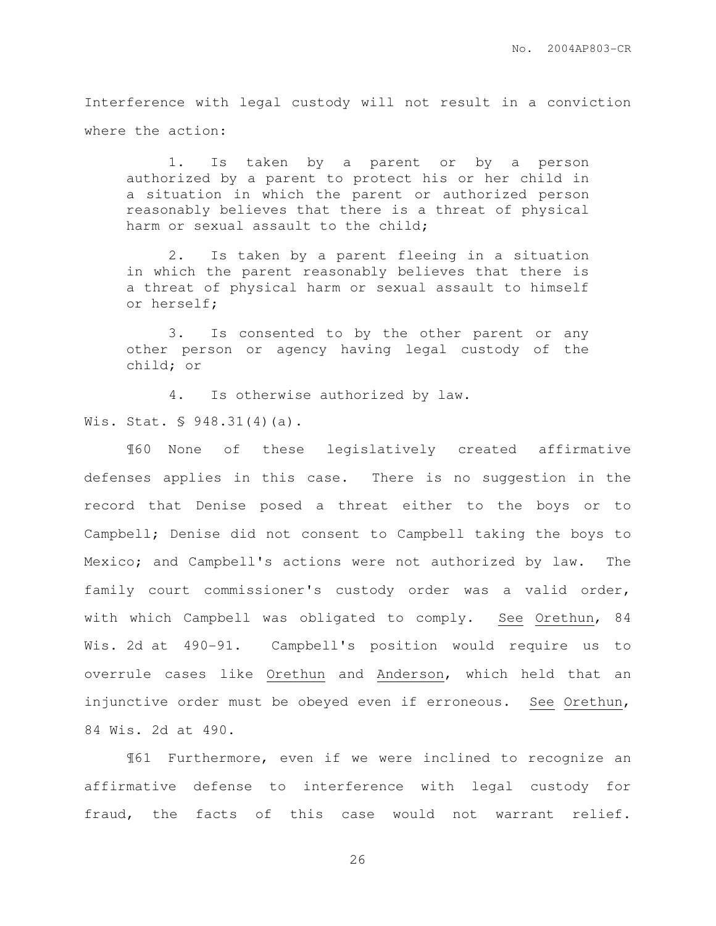Interference with legal custody will not result in a conviction where the action:

1. Is taken by a parent or by a person authorized by a parent to protect his or her child in a situation in which the parent or authorized person reasonably believes that there is a threat of physical harm or sexual assault to the child;

2. Is taken by a parent fleeing in a situation in which the parent reasonably believes that there is a threat of physical harm or sexual assault to himself or herself;

3. Is consented to by the other parent or any other person or agency having legal custody of the child; or

4. Is otherwise authorized by law. Wis. Stat. § 948.31(4)(a).

 ¶60 None of these legislatively created affirmative defenses applies in this case. There is no suggestion in the record that Denise posed a threat either to the boys or to Campbell; Denise did not consent to Campbell taking the boys to Mexico; and Campbell's actions were not authorized by law. The family court commissioner's custody order was a valid order, with which Campbell was obligated to comply. See Orethun, 84 Wis. 2d at 490-91. Campbell's position would require us to overrule cases like Orethun and Anderson, which held that an injunctive order must be obeyed even if erroneous. See Orethun, 84 Wis. 2d at 490.

¶61 Furthermore, even if we were inclined to recognize an affirmative defense to interference with legal custody for fraud, the facts of this case would not warrant relief.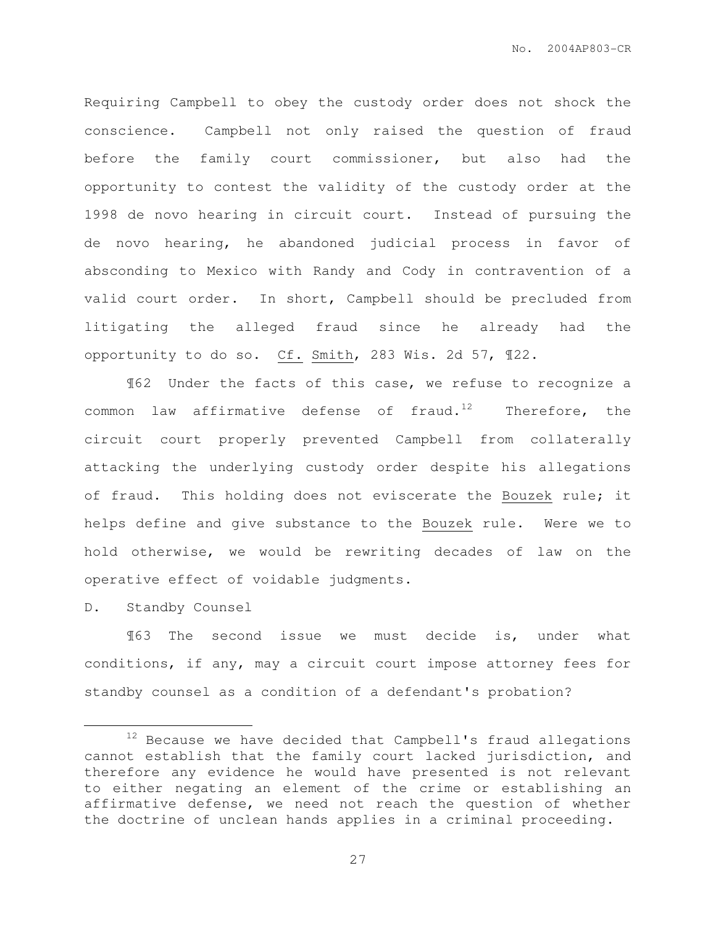Requiring Campbell to obey the custody order does not shock the conscience. Campbell not only raised the question of fraud before the family court commissioner, but also had the opportunity to contest the validity of the custody order at the 1998 de novo hearing in circuit court. Instead of pursuing the de novo hearing, he abandoned judicial process in favor of absconding to Mexico with Randy and Cody in contravention of a valid court order. In short, Campbell should be precluded from litigating the alleged fraud since he already had the opportunity to do so. Cf. Smith, 283 Wis. 2d 57, ¶22.

¶62 Under the facts of this case, we refuse to recognize a common law affirmative defense of fraud.<sup>12</sup> Therefore, the circuit court properly prevented Campbell from collaterally attacking the underlying custody order despite his allegations of fraud. This holding does not eviscerate the Bouzek rule; it helps define and give substance to the Bouzek rule. Were we to hold otherwise, we would be rewriting decades of law on the operative effect of voidable judgments.

D. Standby Counsel

 $\overline{a}$ 

 ¶63 The second issue we must decide is, under what conditions, if any, may a circuit court impose attorney fees for standby counsel as a condition of a defendant's probation?

<sup>&</sup>lt;sup>12</sup> Because we have decided that Campbell's fraud allegations cannot establish that the family court lacked jurisdiction, and therefore any evidence he would have presented is not relevant to either negating an element of the crime or establishing an affirmative defense, we need not reach the question of whether the doctrine of unclean hands applies in a criminal proceeding.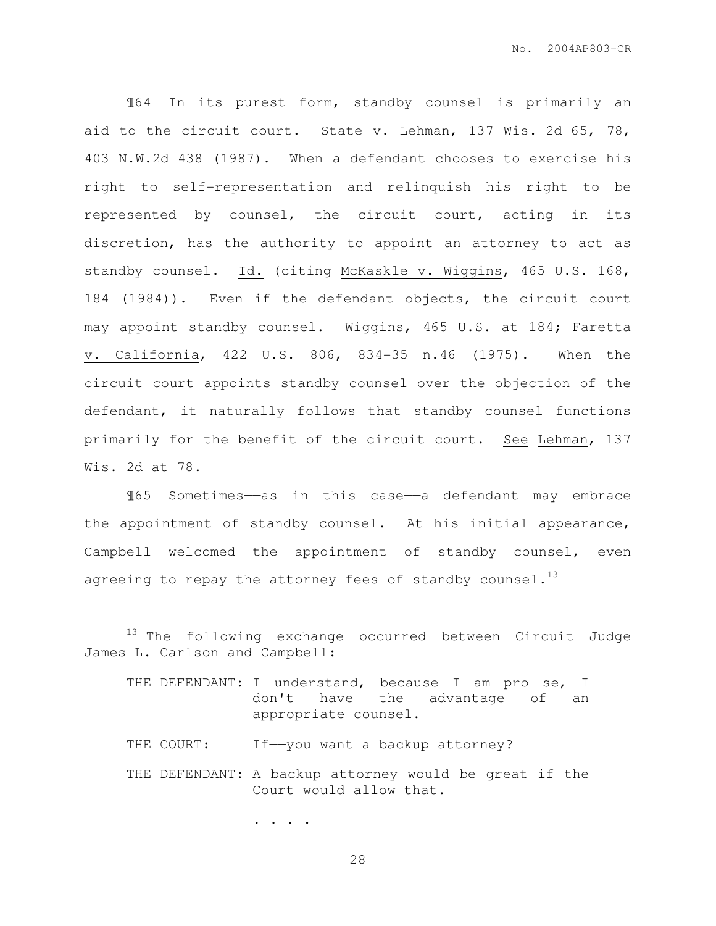¶64 In its purest form, standby counsel is primarily an aid to the circuit court. State v. Lehman, 137 Wis. 2d 65, 78, 403 N.W.2d 438 (1987). When a defendant chooses to exercise his right to self-representation and relinquish his right to be represented by counsel, the circuit court, acting in its discretion, has the authority to appoint an attorney to act as standby counsel. Id. (citing McKaskle v. Wiggins, 465 U.S. 168, 184 (1984)). Even if the defendant objects, the circuit court may appoint standby counsel. Wiggins, 465 U.S. at 184; Faretta v. California, 422 U.S. 806, 834-35 n.46 (1975). When the circuit court appoints standby counsel over the objection of the defendant, it naturally follows that standby counsel functions primarily for the benefit of the circuit court. See Lehman, 137 Wis. 2d at 78.

¶65 Sometimes——as in this case——a defendant may embrace the appointment of standby counsel. At his initial appearance, Campbell welcomed the appointment of standby counsel, even agreeing to repay the attorney fees of standby counsel.<sup>13</sup>

. . . .

 $\overline{a}$ 

<sup>&</sup>lt;sup>13</sup> The following exchange occurred between Circuit Judge James L. Carlson and Campbell:

THE DEFENDANT: I understand, because I am pro se, I don't have the advantage of an appropriate counsel.

THE COURT: If--you want a backup attorney?

THE DEFENDANT: A backup attorney would be great if the Court would allow that.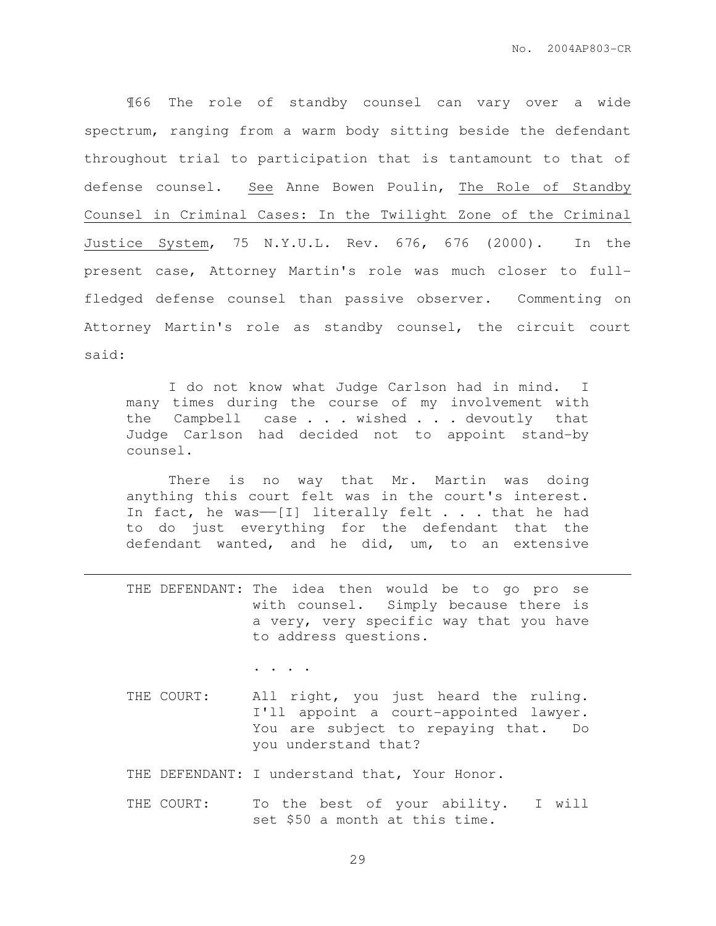¶66 The role of standby counsel can vary over a wide spectrum, ranging from a warm body sitting beside the defendant throughout trial to participation that is tantamount to that of defense counsel. See Anne Bowen Poulin, The Role of Standby Counsel in Criminal Cases: In the Twilight Zone of the Criminal Justice System, 75 N.Y.U.L. Rev. 676, 676 (2000). In the present case, Attorney Martin's role was much closer to fullfledged defense counsel than passive observer. Commenting on Attorney Martin's role as standby counsel, the circuit court said:

I do not know what Judge Carlson had in mind. I many times during the course of my involvement with the Campbell case . . . wished . . . devoutly that Judge Carlson had decided not to appoint stand-by counsel.

There is no way that Mr. Martin was doing anything this court felt was in the court's interest. In fact, he was--[I] literally felt  $\ldots$  that he had to do just everything for the defendant that the defendant wanted, and he did, um, to an extensive

THE DEFENDANT: The idea then would be to go pro se with counsel. Simply because there is a very, very specific way that you have to address questions.

. . . .

 $\overline{a}$ 

- THE COURT: All right, you just heard the ruling. I'll appoint a court-appointed lawyer. You are subject to repaying that. Do you understand that?
- THE DEFENDANT: I understand that, Your Honor.
- THE COURT: To the best of your ability. I will set \$50 a month at this time.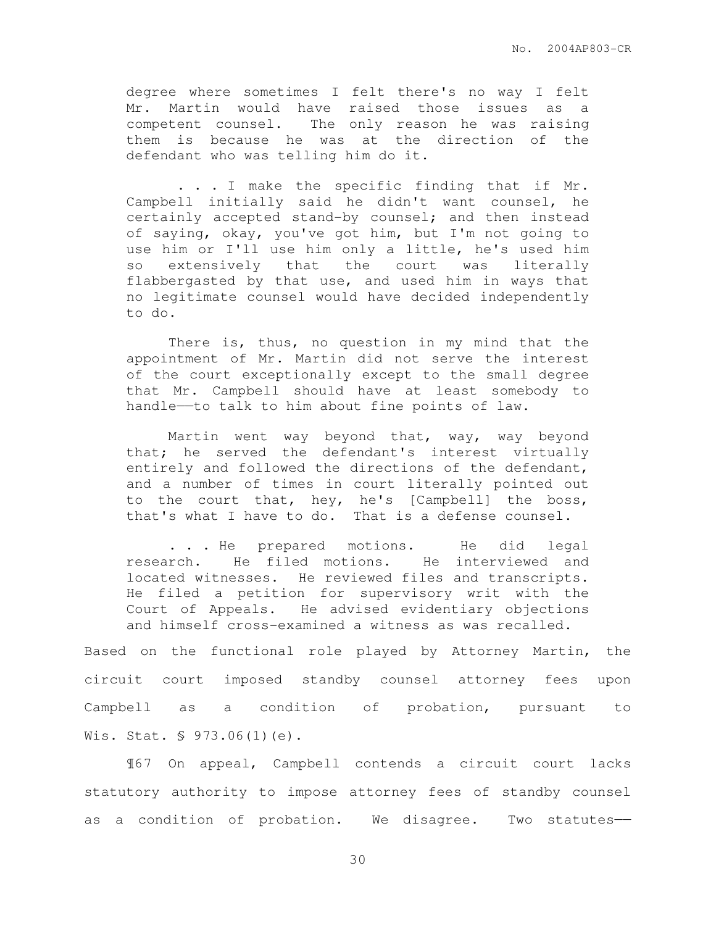degree where sometimes I felt there's no way I felt Mr. Martin would have raised those issues as a competent counsel. The only reason he was raising them is because he was at the direction of the defendant who was telling him do it.

 . . . I make the specific finding that if Mr. Campbell initially said he didn't want counsel, he certainly accepted stand-by counsel; and then instead of saying, okay, you've got him, but I'm not going to use him or I'll use him only a little, he's used him so extensively that the court was literally flabbergasted by that use, and used him in ways that no legitimate counsel would have decided independently to do.

There is, thus, no question in my mind that the appointment of Mr. Martin did not serve the interest of the court exceptionally except to the small degree that Mr. Campbell should have at least somebody to handle——to talk to him about fine points of law.

Martin went way beyond that, way, way beyond that; he served the defendant's interest virtually entirely and followed the directions of the defendant, and a number of times in court literally pointed out to the court that, hey, he's [Campbell] the boss, that's what I have to do. That is a defense counsel.

. . . He prepared motions. He did legal research. He filed motions. He interviewed and located witnesses. He reviewed files and transcripts. He filed a petition for supervisory writ with the Court of Appeals. He advised evidentiary objections and himself cross-examined a witness as was recalled.

Based on the functional role played by Attorney Martin, the circuit court imposed standby counsel attorney fees upon Campbell as a condition of probation, pursuant to Wis. Stat. § 973.06(1)(e).

 ¶67 On appeal, Campbell contends a circuit court lacks statutory authority to impose attorney fees of standby counsel as a condition of probation. We disagree. Two statutes——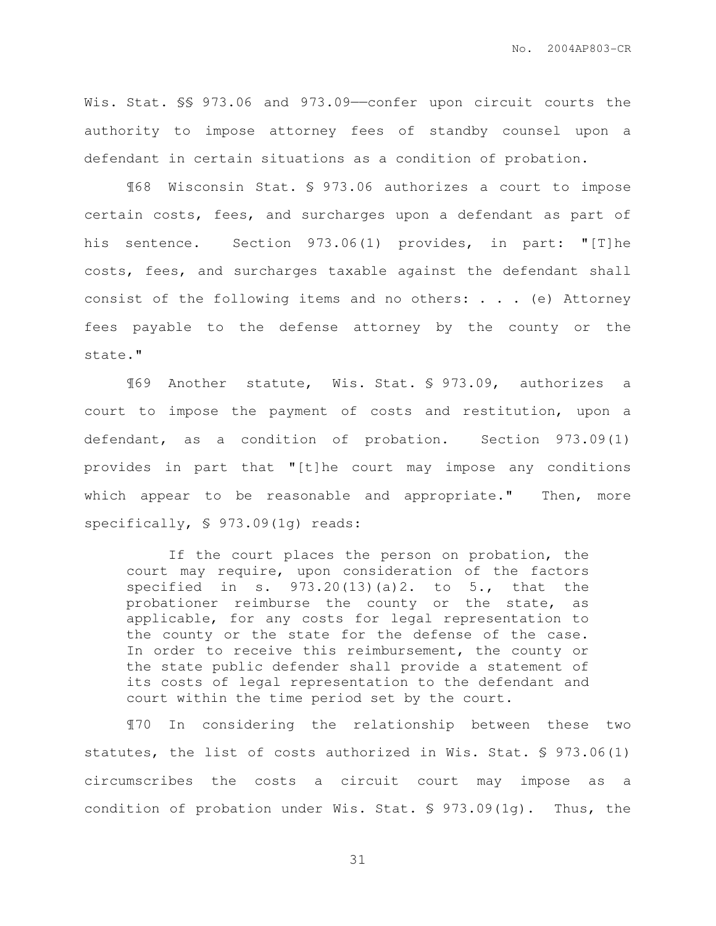Wis. Stat. §§ 973.06 and 973.09- confer upon circuit courts the authority to impose attorney fees of standby counsel upon a defendant in certain situations as a condition of probation.

 ¶68 Wisconsin Stat. § 973.06 authorizes a court to impose certain costs, fees, and surcharges upon a defendant as part of his sentence. Section 973.06(1) provides, in part: "[T]he costs, fees, and surcharges taxable against the defendant shall consist of the following items and no others: . . . (e) Attorney fees payable to the defense attorney by the county or the state."

 ¶69 Another statute, Wis. Stat. § 973.09, authorizes a court to impose the payment of costs and restitution, upon a defendant, as a condition of probation. Section 973.09(1) provides in part that "[t]he court may impose any conditions which appear to be reasonable and appropriate." Then, more specifically, § 973.09(1g) reads:

If the court places the person on probation, the court may require, upon consideration of the factors specified in s.  $973.20(13)(a)2$ . to  $5$ ., that the probationer reimburse the county or the state, as applicable, for any costs for legal representation to the county or the state for the defense of the case. In order to receive this reimbursement, the county or the state public defender shall provide a statement of its costs of legal representation to the defendant and court within the time period set by the court.

 ¶70 In considering the relationship between these two statutes, the list of costs authorized in Wis. Stat. § 973.06(1) circumscribes the costs a circuit court may impose as a condition of probation under Wis. Stat. § 973.09(1g). Thus, the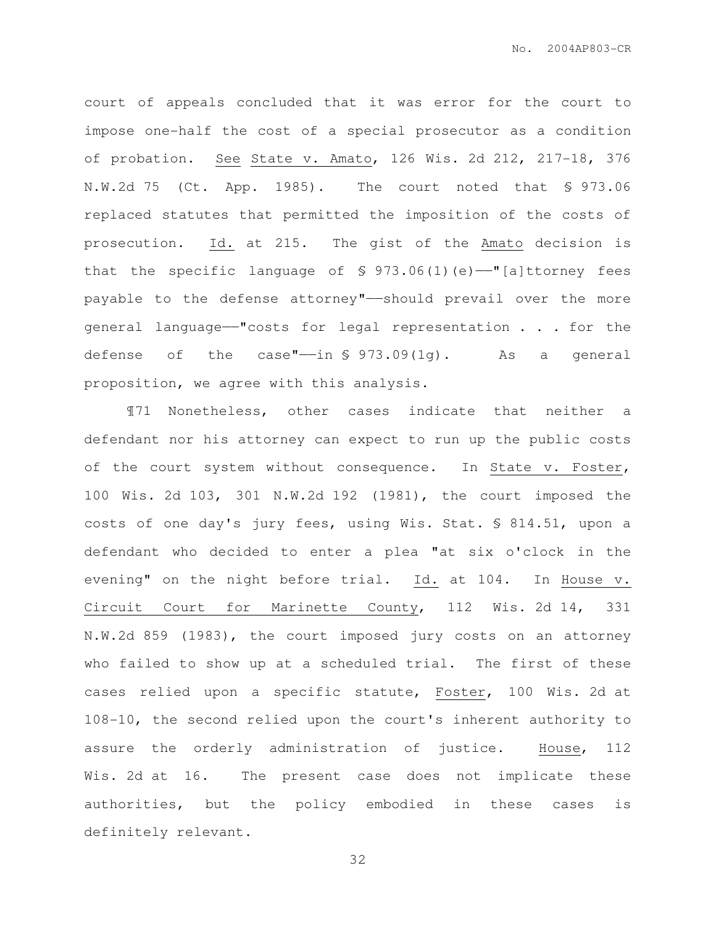court of appeals concluded that it was error for the court to impose one-half the cost of a special prosecutor as a condition of probation. See State v. Amato, 126 Wis. 2d 212, 217-18, 376 N.W.2d 75 (Ct. App. 1985). The court noted that § 973.06 replaced statutes that permitted the imposition of the costs of prosecution. Id. at 215. The gist of the Amato decision is that the specific language of  $\S$  973.06(1)(e)-"[a]ttorney fees payable to the defense attorney"——should prevail over the more general language——"costs for legal representation . . . for the defense of the case"—in  $\frac{1}{2}$  973.09(1q). As a general proposition, we agree with this analysis.

 ¶71 Nonetheless, other cases indicate that neither a defendant nor his attorney can expect to run up the public costs of the court system without consequence. In State v. Foster, 100 Wis. 2d 103, 301 N.W.2d 192 (1981), the court imposed the costs of one day's jury fees, using Wis. Stat. § 814.51, upon a defendant who decided to enter a plea "at six o'clock in the evening" on the night before trial. Id. at 104. In House v. Circuit Court for Marinette County, 112 Wis. 2d 14, 331 N.W.2d 859 (1983), the court imposed jury costs on an attorney who failed to show up at a scheduled trial. The first of these cases relied upon a specific statute, Foster, 100 Wis. 2d at 108-10, the second relied upon the court's inherent authority to assure the orderly administration of justice. House, 112 Wis. 2d at 16. The present case does not implicate these authorities, but the policy embodied in these cases is definitely relevant.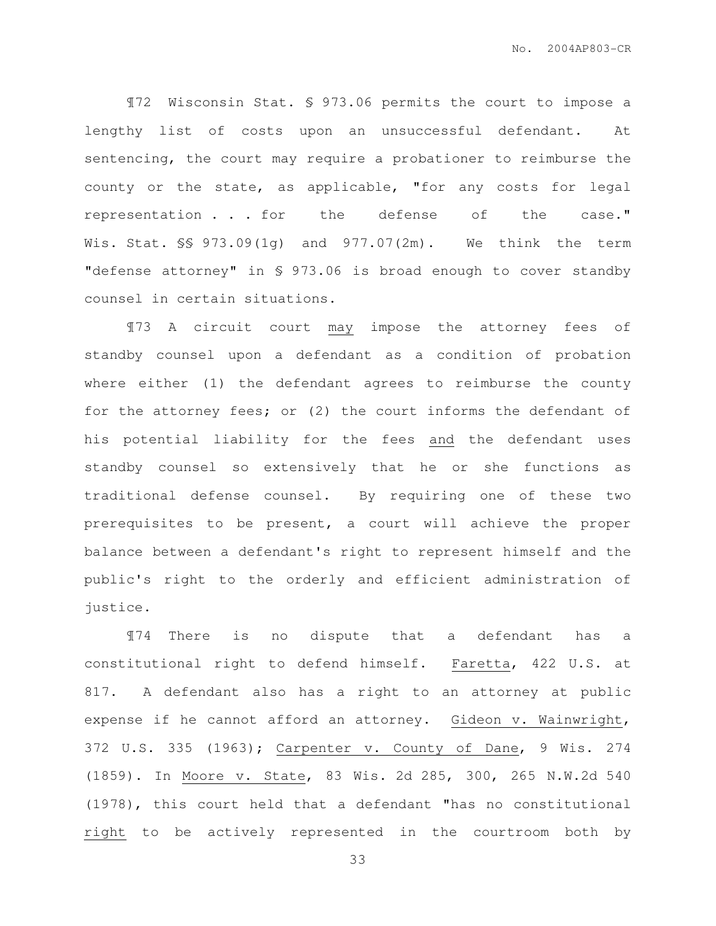¶72 Wisconsin Stat. § 973.06 permits the court to impose a lengthy list of costs upon an unsuccessful defendant. At sentencing, the court may require a probationer to reimburse the county or the state, as applicable, "for any costs for legal representation . . . for the defense of the case." Wis. Stat. §§ 973.09(1g) and 977.07(2m). We think the term "defense attorney" in § 973.06 is broad enough to cover standby counsel in certain situations.

 ¶73 A circuit court may impose the attorney fees of standby counsel upon a defendant as a condition of probation where either (1) the defendant agrees to reimburse the county for the attorney fees; or (2) the court informs the defendant of his potential liability for the fees and the defendant uses standby counsel so extensively that he or she functions as traditional defense counsel. By requiring one of these two prerequisites to be present, a court will achieve the proper balance between a defendant's right to represent himself and the public's right to the orderly and efficient administration of justice.

 ¶74 There is no dispute that a defendant has a constitutional right to defend himself. Faretta, 422 U.S. at 817. A defendant also has a right to an attorney at public expense if he cannot afford an attorney. Gideon v. Wainwright, 372 U.S. 335 (1963); Carpenter v. County of Dane, 9 Wis. 274 (1859). In Moore v. State, 83 Wis. 2d 285, 300, 265 N.W.2d 540 (1978), this court held that a defendant "has no constitutional right to be actively represented in the courtroom both by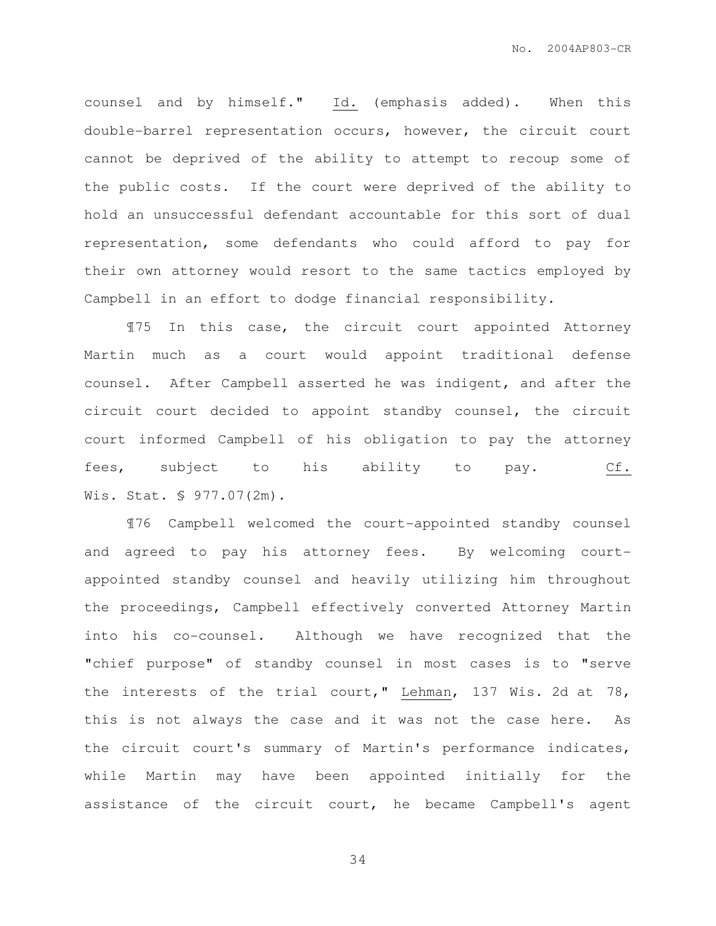counsel and by himself." Id. (emphasis added). When this double-barrel representation occurs, however, the circuit court cannot be deprived of the ability to attempt to recoup some of the public costs. If the court were deprived of the ability to hold an unsuccessful defendant accountable for this sort of dual representation, some defendants who could afford to pay for their own attorney would resort to the same tactics employed by Campbell in an effort to dodge financial responsibility.

¶75 In this case, the circuit court appointed Attorney Martin much as a court would appoint traditional defense counsel. After Campbell asserted he was indigent, and after the circuit court decided to appoint standby counsel, the circuit court informed Campbell of his obligation to pay the attorney fees, subject to his ability to pay. Cf. Wis. Stat. § 977.07(2m).

 ¶76 Campbell welcomed the court-appointed standby counsel and agreed to pay his attorney fees. By welcoming courtappointed standby counsel and heavily utilizing him throughout the proceedings, Campbell effectively converted Attorney Martin into his co-counsel. Although we have recognized that the "chief purpose" of standby counsel in most cases is to "serve the interests of the trial court," Lehman, 137 Wis. 2d at 78, this is not always the case and it was not the case here. As the circuit court's summary of Martin's performance indicates, while Martin may have been appointed initially for the assistance of the circuit court, he became Campbell's agent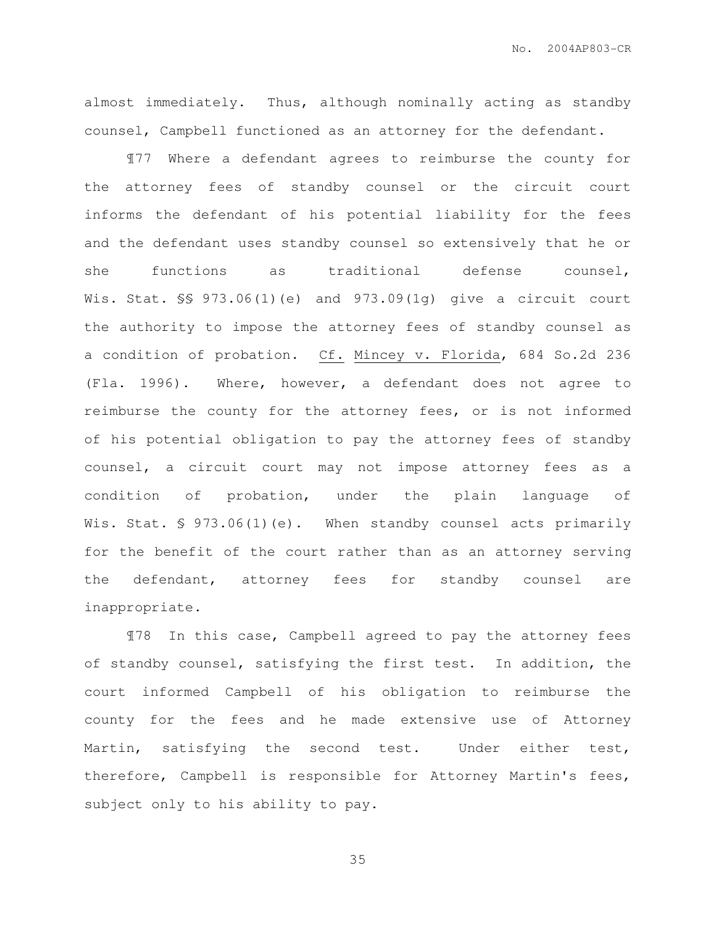almost immediately. Thus, although nominally acting as standby counsel, Campbell functioned as an attorney for the defendant.

¶77 Where a defendant agrees to reimburse the county for the attorney fees of standby counsel or the circuit court informs the defendant of his potential liability for the fees and the defendant uses standby counsel so extensively that he or she functions as traditional defense counsel, Wis. Stat. §§ 973.06(1)(e) and 973.09(1g) give a circuit court the authority to impose the attorney fees of standby counsel as a condition of probation. Cf. Mincey v. Florida, 684 So.2d 236 (Fla. 1996). Where, however, a defendant does not agree to reimburse the county for the attorney fees, or is not informed of his potential obligation to pay the attorney fees of standby counsel, a circuit court may not impose attorney fees as a condition of probation, under the plain language of Wis. Stat. § 973.06(1)(e). When standby counsel acts primarily for the benefit of the court rather than as an attorney serving the defendant, attorney fees for standby counsel are inappropriate.

¶78 In this case, Campbell agreed to pay the attorney fees of standby counsel, satisfying the first test. In addition, the court informed Campbell of his obligation to reimburse the county for the fees and he made extensive use of Attorney Martin, satisfying the second test. Under either test, therefore, Campbell is responsible for Attorney Martin's fees, subject only to his ability to pay.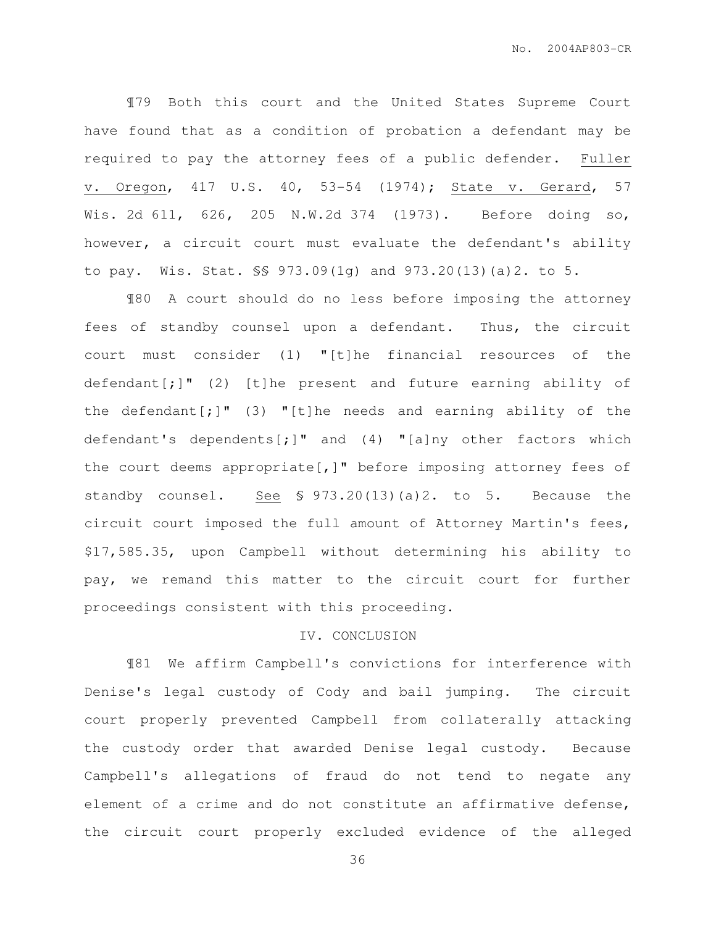¶79 Both this court and the United States Supreme Court have found that as a condition of probation a defendant may be required to pay the attorney fees of a public defender. Fuller v. Oregon, 417 U.S. 40, 53-54 (1974); State v. Gerard, 57 Wis. 2d 611, 626, 205 N.W.2d 374 (1973). Before doing so, however, a circuit court must evaluate the defendant's ability to pay. Wis. Stat. §§ 973.09(1g) and 973.20(13)(a)2. to 5.

¶80 A court should do no less before imposing the attorney fees of standby counsel upon a defendant. Thus, the circuit court must consider (1) "[t]he financial resources of the defendant $[j]$ " (2) [t]he present and future earning ability of the defendant $[j]$ " (3) "[t]he needs and earning ability of the defendant's dependents[;]" and (4) "[a]ny other factors which the court deems appropriate[,]" before imposing attorney fees of standby counsel. See § 973.20(13)(a)2. to 5. Because the circuit court imposed the full amount of Attorney Martin's fees, \$17,585.35, upon Campbell without determining his ability to pay, we remand this matter to the circuit court for further proceedings consistent with this proceeding.

#### IV. CONCLUSION

¶81 We affirm Campbell's convictions for interference with Denise's legal custody of Cody and bail jumping. The circuit court properly prevented Campbell from collaterally attacking the custody order that awarded Denise legal custody. Because Campbell's allegations of fraud do not tend to negate any element of a crime and do not constitute an affirmative defense, the circuit court properly excluded evidence of the alleged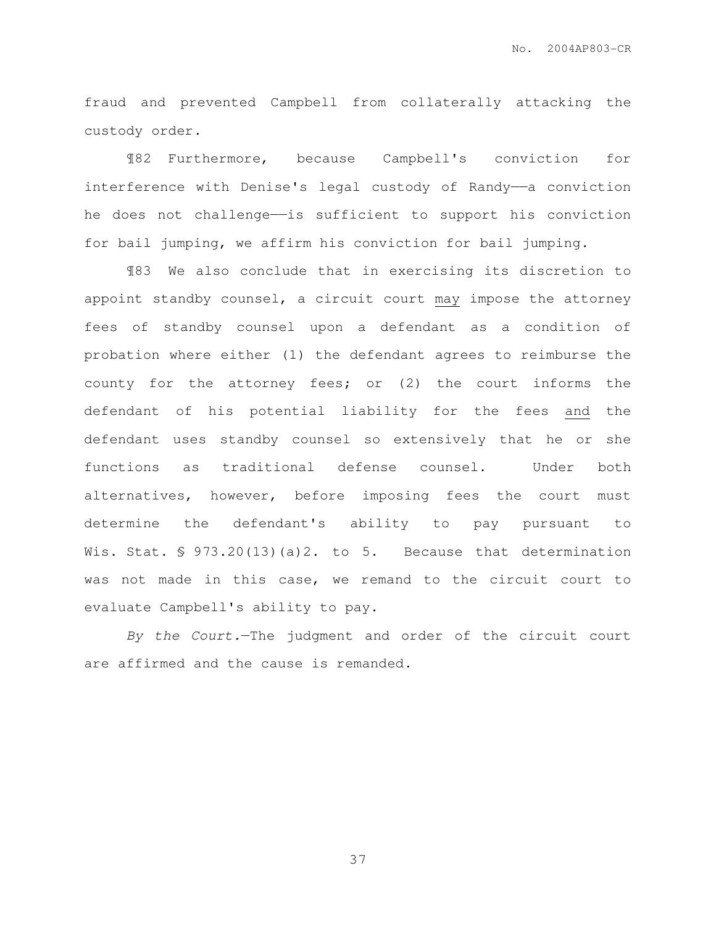fraud and prevented Campbell from collaterally attacking the custody order.

¶82 Furthermore, because Campbell's conviction for interference with Denise's legal custody of Randy-a conviction he does not challenge——is sufficient to support his conviction for bail jumping, we affirm his conviction for bail jumping.

¶83 We also conclude that in exercising its discretion to appoint standby counsel, a circuit court may impose the attorney fees of standby counsel upon a defendant as a condition of probation where either (1) the defendant agrees to reimburse the county for the attorney fees; or (2) the court informs the defendant of his potential liability for the fees and the defendant uses standby counsel so extensively that he or she functions as traditional defense counsel. Under both alternatives, however, before imposing fees the court must determine the defendant's ability to pay pursuant to Wis. Stat. § 973.20(13)(a)2. to 5. Because that determination was not made in this case, we remand to the circuit court to evaluate Campbell's ability to pay.

By the Court.—The judgment and order of the circuit court are affirmed and the cause is remanded.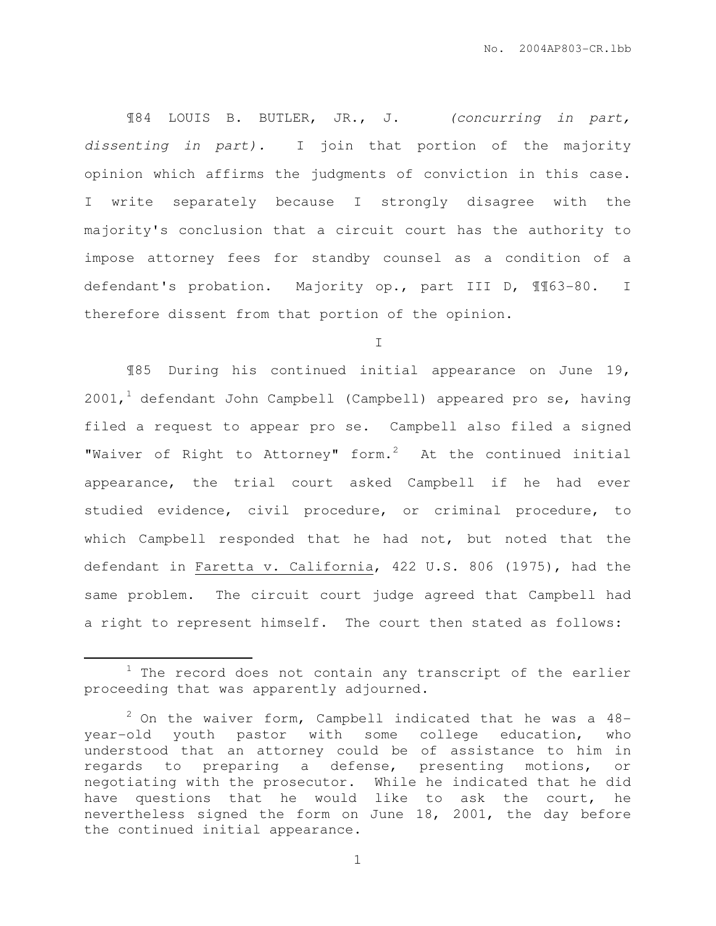¶84 LOUIS B. BUTLER, JR., J. (concurring in part, dissenting in part). I join that portion of the majority opinion which affirms the judgments of conviction in this case. I write separately because I strongly disagree with the majority's conclusion that a circuit court has the authority to impose attorney fees for standby counsel as a condition of a defendant's probation. Majority op., part III D, ¶¶63-80. I therefore dissent from that portion of the opinion.

I

¶85 During his continued initial appearance on June 19,  $2001,$ <sup>1</sup> defendant John Campbell (Campbell) appeared pro se, having filed a request to appear pro se. Campbell also filed a signed "Waiver of Right to Attorney" form. $2$  At the continued initial appearance, the trial court asked Campbell if he had ever studied evidence, civil procedure, or criminal procedure, to which Campbell responded that he had not, but noted that the defendant in Faretta v. California, 422 U.S. 806 (1975), had the same problem. The circuit court judge agreed that Campbell had a right to represent himself. The court then stated as follows:

 $\overline{a}$ 

 $1$  The record does not contain any transcript of the earlier proceeding that was apparently adjourned.

 $2$  On the waiver form, Campbell indicated that he was a 48year-old youth pastor with some college education, who understood that an attorney could be of assistance to him in regards to preparing a defense, presenting motions, or negotiating with the prosecutor. While he indicated that he did have questions that he would like to ask the court, he nevertheless signed the form on June 18, 2001, the day before the continued initial appearance.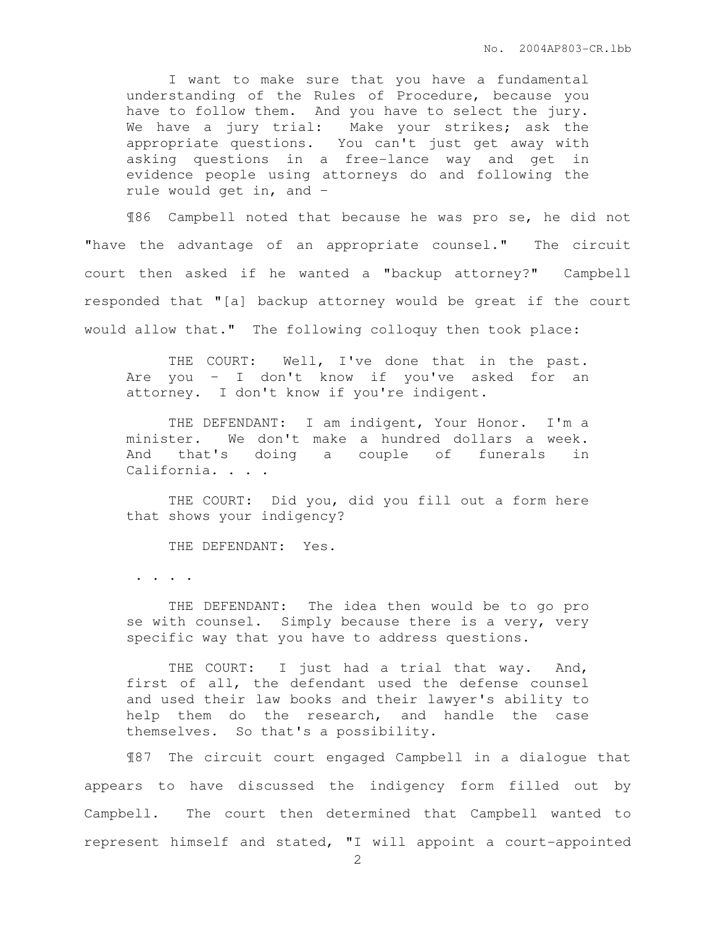I want to make sure that you have a fundamental understanding of the Rules of Procedure, because you have to follow them. And you have to select the jury. We have a jury trial: Make your strikes; ask the appropriate questions. You can't just get away with asking questions in a free-lance way and get in evidence people using attorneys do and following the rule would get in, and –

¶86 Campbell noted that because he was pro se, he did not "have the advantage of an appropriate counsel." The circuit court then asked if he wanted a "backup attorney?" Campbell responded that "[a] backup attorney would be great if the court would allow that." The following colloquy then took place:

 THE COURT: Well, I've done that in the past. Are you – I don't know if you've asked for an attorney. I don't know if you're indigent.

 THE DEFENDANT: I am indigent, Your Honor. I'm a minister. We don't make a hundred dollars a week. And that's doing a couple of funerals in California. . . .

 THE COURT: Did you, did you fill out a form here that shows your indigency?

THE DEFENDANT: Yes.

. . . .

 THE DEFENDANT: The idea then would be to go pro se with counsel. Simply because there is a very, very specific way that you have to address questions.

THE COURT: I just had a trial that way. And, first of all, the defendant used the defense counsel and used their law books and their lawyer's ability to help them do the research, and handle the case themselves. So that's a possibility.

¶87 The circuit court engaged Campbell in a dialogue that appears to have discussed the indigency form filled out by Campbell. The court then determined that Campbell wanted to represent himself and stated, "I will appoint a court-appointed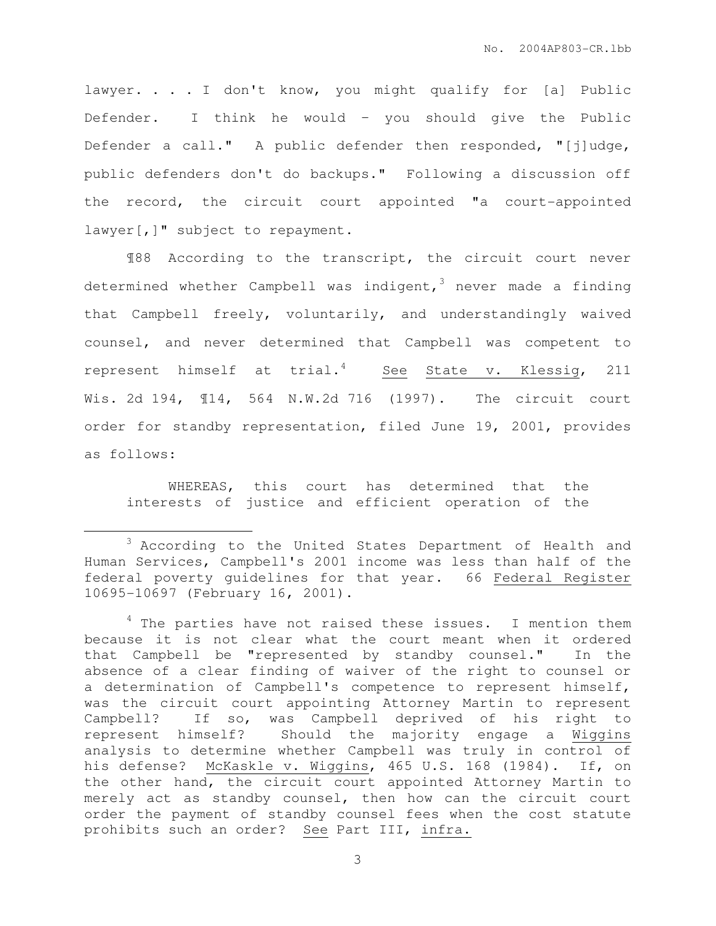lawyer. . . . I don't know, you might qualify for [a] Public Defender. I think he would – you should give the Public Defender a call." A public defender then responded, "[j]udge, public defenders don't do backups." Following a discussion off the record, the circuit court appointed "a court-appointed lawyer [, ]" subject to repayment.

¶88 According to the transcript, the circuit court never determined whether Campbell was indigent,<sup>3</sup> never made a finding that Campbell freely, voluntarily, and understandingly waived counsel, and never determined that Campbell was competent to represent himself at  $trial.^4$  See State v. Klessig, 211 Wis. 2d 194, ¶14, 564 N.W.2d 716 (1997). The circuit court order for standby representation, filed June 19, 2001, provides as follows:

 WHEREAS, this court has determined that the interests of justice and efficient operation of the

 $\overline{a}$ 

<sup>&</sup>lt;sup>3</sup> According to the United States Department of Health and Human Services, Campbell's 2001 income was less than half of the federal poverty guidelines for that year. 66 Federal Register 10695-10697 (February 16, 2001).

 $4$  The parties have not raised these issues. I mention them because it is not clear what the court meant when it ordered that Campbell be "represented by standby counsel." In the absence of a clear finding of waiver of the right to counsel or a determination of Campbell's competence to represent himself, was the circuit court appointing Attorney Martin to represent Campbell? If so, was Campbell deprived of his right to represent himself? Should the majority engage a Wiggins analysis to determine whether Campbell was truly in control of his defense? McKaskle v. Wiggins, 465 U.S. 168 (1984). If, on the other hand, the circuit court appointed Attorney Martin to merely act as standby counsel, then how can the circuit court order the payment of standby counsel fees when the cost statute prohibits such an order? See Part III, infra.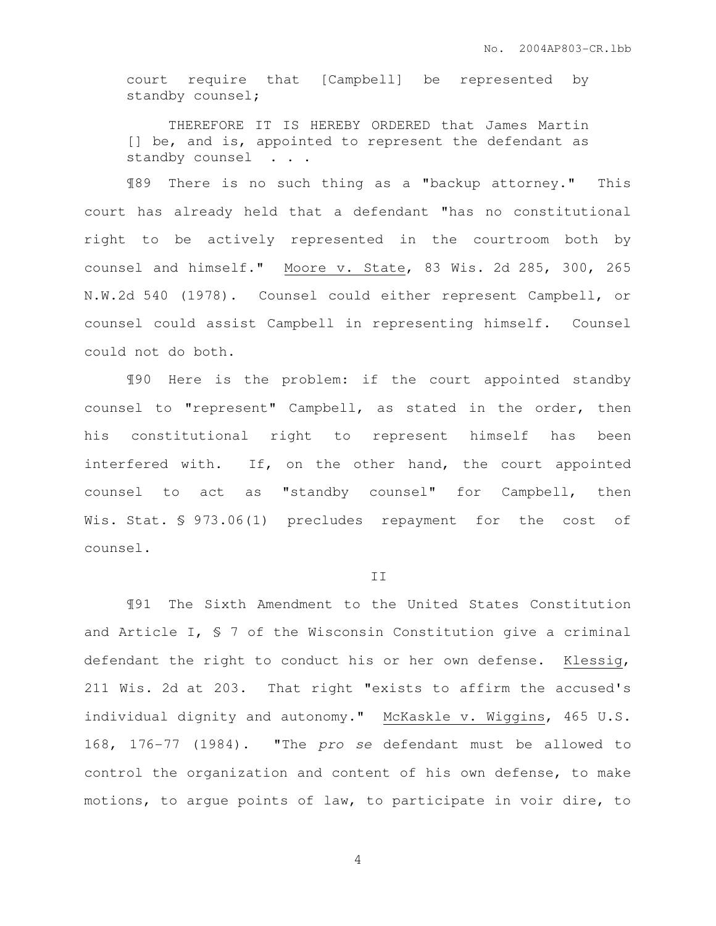court require that [Campbell] be represented by standby counsel;

 THEREFORE IT IS HEREBY ORDERED that James Martin [] be, and is, appointed to represent the defendant as standby counsel . . .

¶89 There is no such thing as a "backup attorney." This court has already held that a defendant "has no constitutional right to be actively represented in the courtroom both by counsel and himself." Moore v. State, 83 Wis. 2d 285, 300, 265 N.W.2d 540 (1978). Counsel could either represent Campbell, or counsel could assist Campbell in representing himself. Counsel could not do both.

¶90 Here is the problem: if the court appointed standby counsel to "represent" Campbell, as stated in the order, then his constitutional right to represent himself has been interfered with. If, on the other hand, the court appointed counsel to act as "standby counsel" for Campbell, then Wis. Stat. § 973.06(1) precludes repayment for the cost of counsel.

#### II

¶91 The Sixth Amendment to the United States Constitution and Article I, § 7 of the Wisconsin Constitution give a criminal defendant the right to conduct his or her own defense. Klessig, 211 Wis. 2d at 203. That right "exists to affirm the accused's individual dignity and autonomy." McKaskle v. Wiggins, 465 U.S. 168, 176-77 (1984). "The pro se defendant must be allowed to control the organization and content of his own defense, to make motions, to argue points of law, to participate in voir dire, to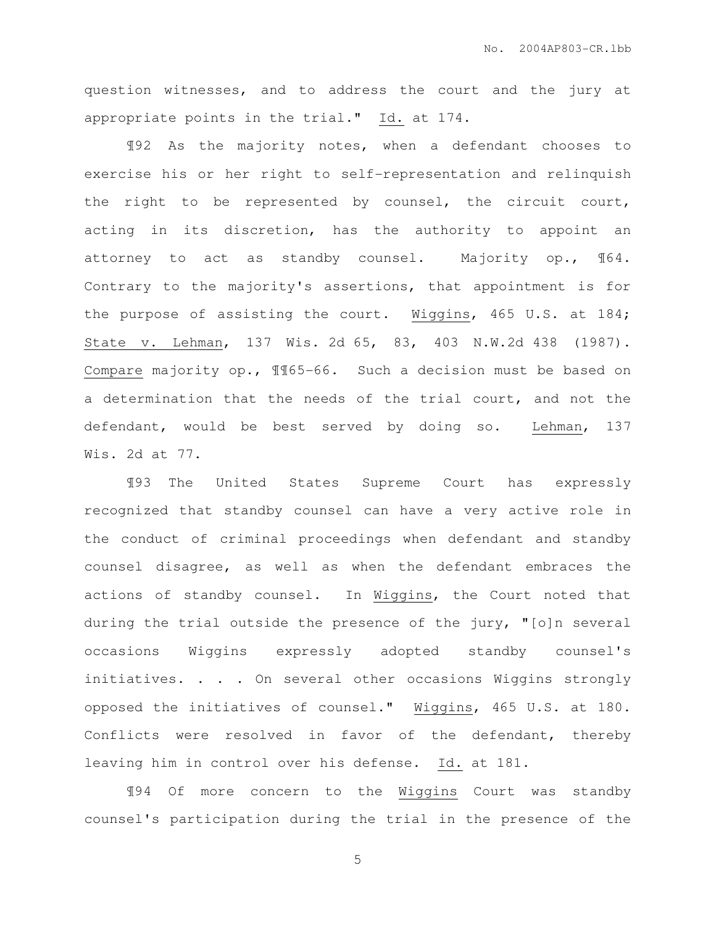question witnesses, and to address the court and the jury at appropriate points in the trial." Id. at 174.

¶92 As the majority notes, when a defendant chooses to exercise his or her right to self-representation and relinquish the right to be represented by counsel, the circuit court, acting in its discretion, has the authority to appoint an attorney to act as standby counsel. Majority op., ¶64. Contrary to the majority's assertions, that appointment is for the purpose of assisting the court. Wiggins, 465 U.S. at 184; State v. Lehman, 137 Wis. 2d 65, 83, 403 N.W.2d 438 (1987). Compare majority op., ¶¶65-66. Such a decision must be based on a determination that the needs of the trial court, and not the defendant, would be best served by doing so. Lehman, 137 Wis. 2d at 77.

¶93 The United States Supreme Court has expressly recognized that standby counsel can have a very active role in the conduct of criminal proceedings when defendant and standby counsel disagree, as well as when the defendant embraces the actions of standby counsel. In Wiggins, the Court noted that during the trial outside the presence of the jury, "[o]n several occasions Wiggins expressly adopted standby counsel's initiatives. . . . On several other occasions Wiggins strongly opposed the initiatives of counsel." Wiggins, 465 U.S. at 180. Conflicts were resolved in favor of the defendant, thereby leaving him in control over his defense. Id. at 181.

¶94 Of more concern to the Wiggins Court was standby counsel's participation during the trial in the presence of the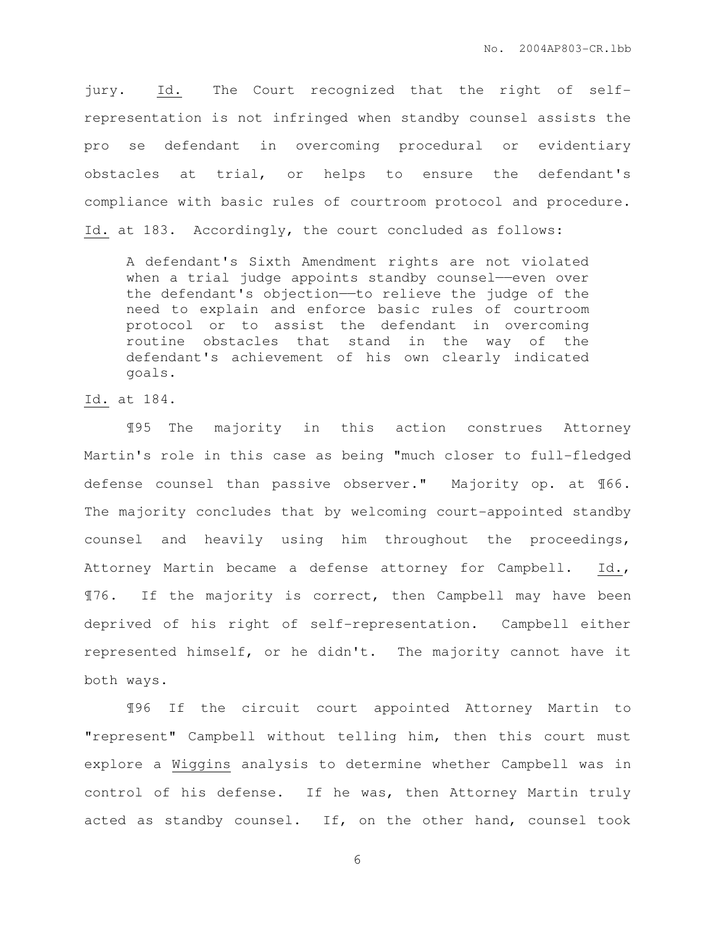jury. Id. The Court recognized that the right of selfrepresentation is not infringed when standby counsel assists the pro se defendant in overcoming procedural or evidentiary obstacles at trial, or helps to ensure the defendant's compliance with basic rules of courtroom protocol and procedure. Id. at 183. Accordingly, the court concluded as follows:

A defendant's Sixth Amendment rights are not violated when a trial judge appoints standby counsel-even over the defendant's objection—to relieve the judge of the need to explain and enforce basic rules of courtroom protocol or to assist the defendant in overcoming routine obstacles that stand in the way of the defendant's achievement of his own clearly indicated goals.

Id. at 184.

¶95 The majority in this action construes Attorney Martin's role in this case as being "much closer to full-fledged defense counsel than passive observer." Majority op. at ¶66. The majority concludes that by welcoming court-appointed standby counsel and heavily using him throughout the proceedings, Attorney Martin became a defense attorney for Campbell. Id., ¶76. If the majority is correct, then Campbell may have been deprived of his right of self-representation. Campbell either represented himself, or he didn't. The majority cannot have it both ways.

¶96 If the circuit court appointed Attorney Martin to "represent" Campbell without telling him, then this court must explore a Wiggins analysis to determine whether Campbell was in control of his defense. If he was, then Attorney Martin truly acted as standby counsel. If, on the other hand, counsel took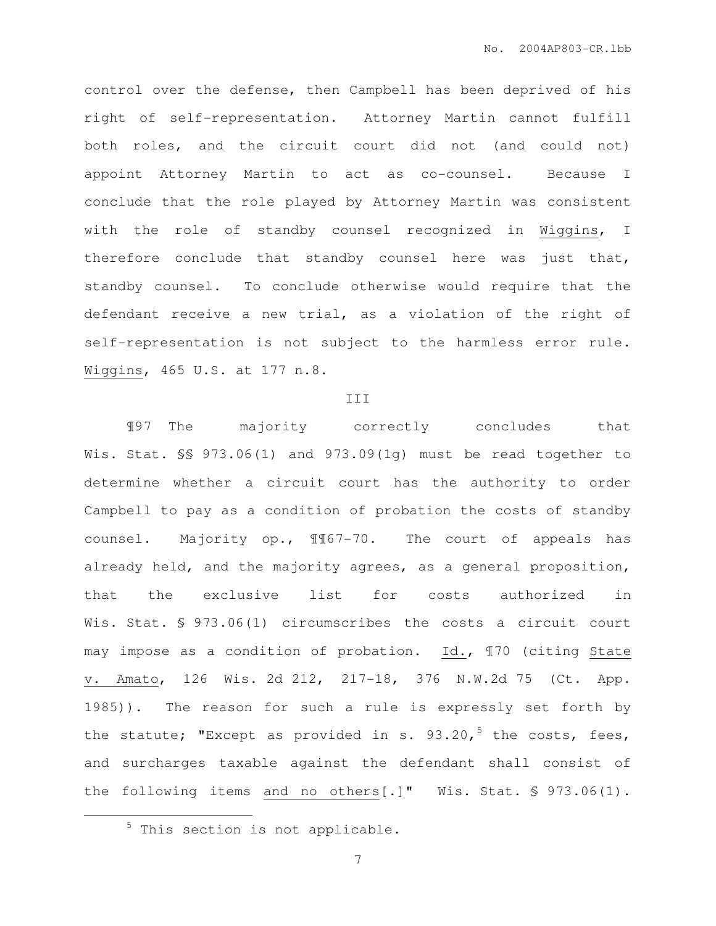control over the defense, then Campbell has been deprived of his right of self-representation. Attorney Martin cannot fulfill both roles, and the circuit court did not (and could not) appoint Attorney Martin to act as co-counsel. Because I conclude that the role played by Attorney Martin was consistent with the role of standby counsel recognized in Wiggins, I therefore conclude that standby counsel here was just that, standby counsel. To conclude otherwise would require that the defendant receive a new trial, as a violation of the right of self-representation is not subject to the harmless error rule. Wiggins, 465 U.S. at 177 n.8.

#### III

¶97 The majority correctly concludes that Wis. Stat. §§ 973.06(1) and 973.09(1q) must be read together to determine whether a circuit court has the authority to order Campbell to pay as a condition of probation the costs of standby counsel. Majority op., ¶¶67-70. The court of appeals has already held, and the majority agrees, as a general proposition, that the exclusive list for costs authorized in Wis. Stat. § 973.06(1) circumscribes the costs a circuit court may impose as a condition of probation. Id., ¶70 (citing State v. Amato, 126 Wis. 2d 212, 217-18, 376 N.W.2d 75 (Ct. App. 1985)). The reason for such a rule is expressly set forth by the statute; "Except as provided in s.  $93.20, 5$  the costs, fees, and surcharges taxable against the defendant shall consist of the following items and no others[.]" Wis. Stat. § 973.06(1).

 $\overline{a}$ 

 $5$  This section is not applicable.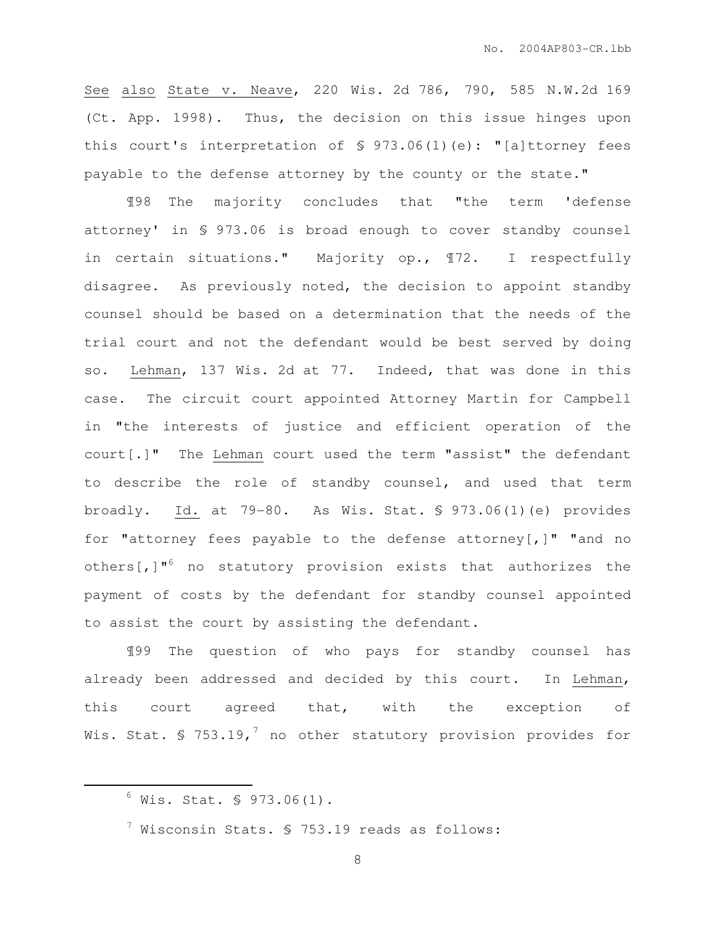See also State v. Neave, 220 Wis. 2d 786, 790, 585 N.W.2d 169 (Ct. App. 1998). Thus, the decision on this issue hinges upon this court's interpretation of  $\frac{1}{2}$  973.06(1)(e): "[a]ttorney fees payable to the defense attorney by the county or the state."

¶98 The majority concludes that "the term 'defense attorney' in § 973.06 is broad enough to cover standby counsel in certain situations." Majority op., ¶72. I respectfully disagree. As previously noted, the decision to appoint standby counsel should be based on a determination that the needs of the trial court and not the defendant would be best served by doing so. Lehman, 137 Wis. 2d at 77. Indeed, that was done in this case. The circuit court appointed Attorney Martin for Campbell in "the interests of justice and efficient operation of the court[.]" The Lehman court used the term "assist" the defendant to describe the role of standby counsel, and used that term broadly. Id. at 79-80. As Wis. Stat. § 973.06(1)(e) provides for "attorney fees payable to the defense attorney[,]" "and no others[,]"<sup>6</sup> no statutory provision exists that authorizes the payment of costs by the defendant for standby counsel appointed to assist the court by assisting the defendant.

¶99 The question of who pays for standby counsel has already been addressed and decided by this court. In Lehman, this court agreed that, with the exception of Wis. Stat. § 753.19,<sup>7</sup> no other statutory provision provides for

 $\overline{a}$ 

 $6$  Wis. Stat. § 973.06(1).

 $^7$  Wisconsin Stats. § 753.19 reads as follows: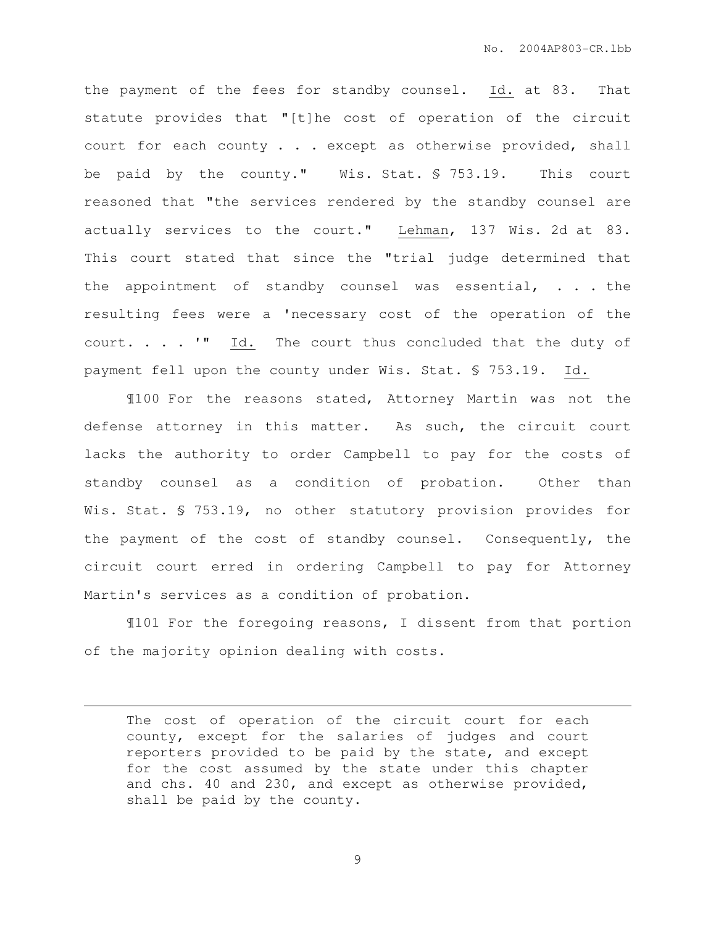the payment of the fees for standby counsel. Id. at 83. That statute provides that "[t]he cost of operation of the circuit court for each county . . . except as otherwise provided, shall be paid by the county." Wis. Stat. § 753.19. This court reasoned that "the services rendered by the standby counsel are actually services to the court." Lehman, 137 Wis. 2d at 83. This court stated that since the "trial judge determined that the appointment of standby counsel was essential, . . . the resulting fees were a 'necessary cost of the operation of the court. . . . '" Id. The court thus concluded that the duty of payment fell upon the county under Wis. Stat. § 753.19. Id.

¶100 For the reasons stated, Attorney Martin was not the defense attorney in this matter. As such, the circuit court lacks the authority to order Campbell to pay for the costs of standby counsel as a condition of probation. Other than Wis. Stat. § 753.19, no other statutory provision provides for the payment of the cost of standby counsel. Consequently, the circuit court erred in ordering Campbell to pay for Attorney Martin's services as a condition of probation.

¶101 For the foregoing reasons, I dissent from that portion of the majority opinion dealing with costs.

 $\overline{a}$ 

The cost of operation of the circuit court for each county, except for the salaries of judges and court reporters provided to be paid by the state, and except for the cost assumed by the state under this chapter and chs. 40 and 230, and except as otherwise provided, shall be paid by the county.